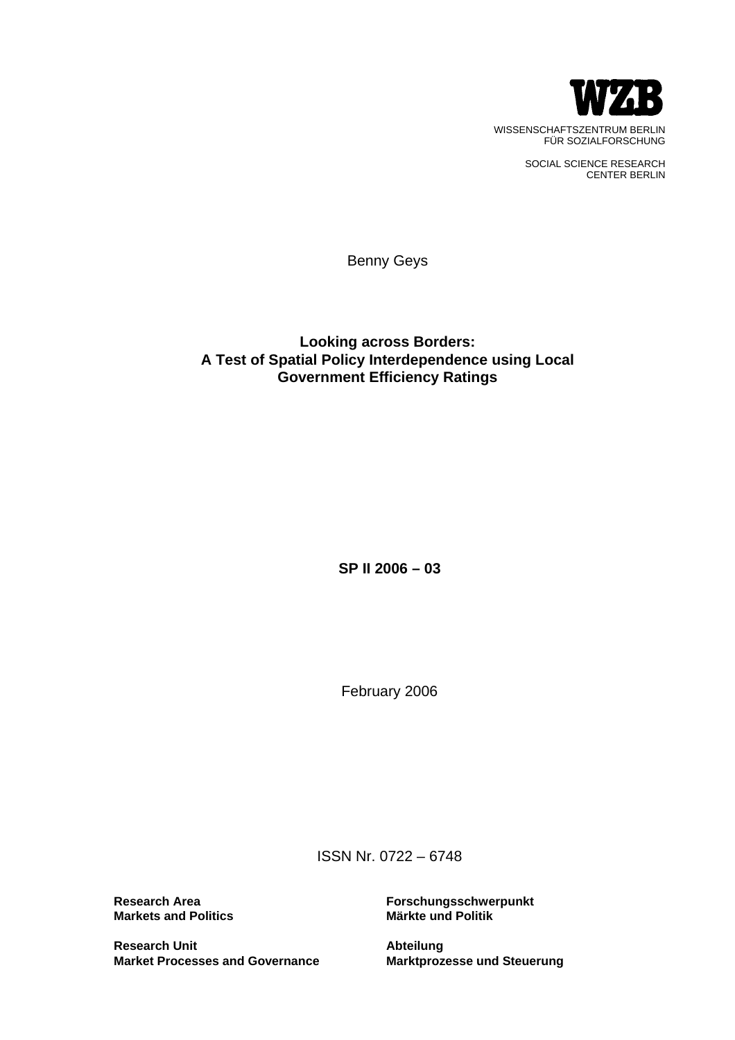

SOCIAL SCIENCE RESEARCH CENTER BERLIN

Benny Geys

# **Looking across Borders: A Test of Spatial Policy Interdependence using Local Government Efficiency Ratings**

 **SP II 2006 – 03** 

February 2006

ISSN Nr. 0722 – 6748

**Research Area Markets and Politics** 

**Research Unit Market Processes and Governance**  **Forschungsschwerpunkt Märkte und Politik** 

**Abteilung Marktprozesse und Steuerung**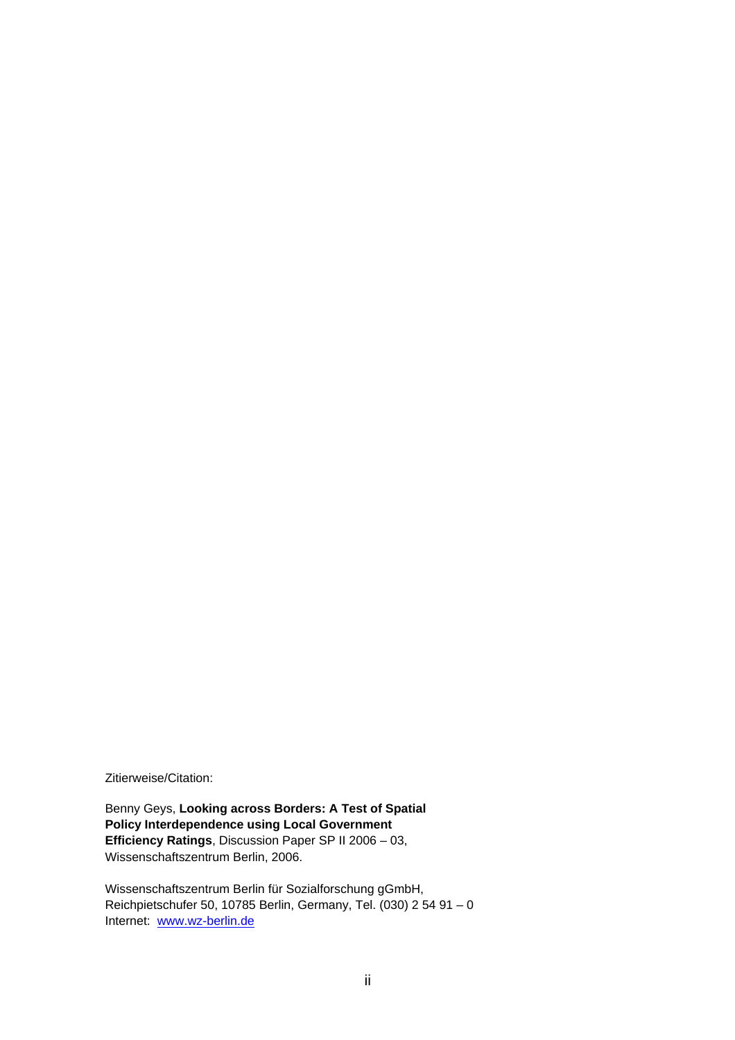Zitierweise/Citation:

Benny Geys, **Looking across Borders: A Test of Spatial Policy Interdependence using Local Government Efficiency Ratings**, Discussion Paper SP II 2006 – 03, Wissenschaftszentrum Berlin, 2006.

Wissenschaftszentrum Berlin für Sozialforschung gGmbH, Reichpietschufer 50, 10785 Berlin, Germany, Tel. (030) 2 54 91 – 0 Internet: www.wz-berlin.de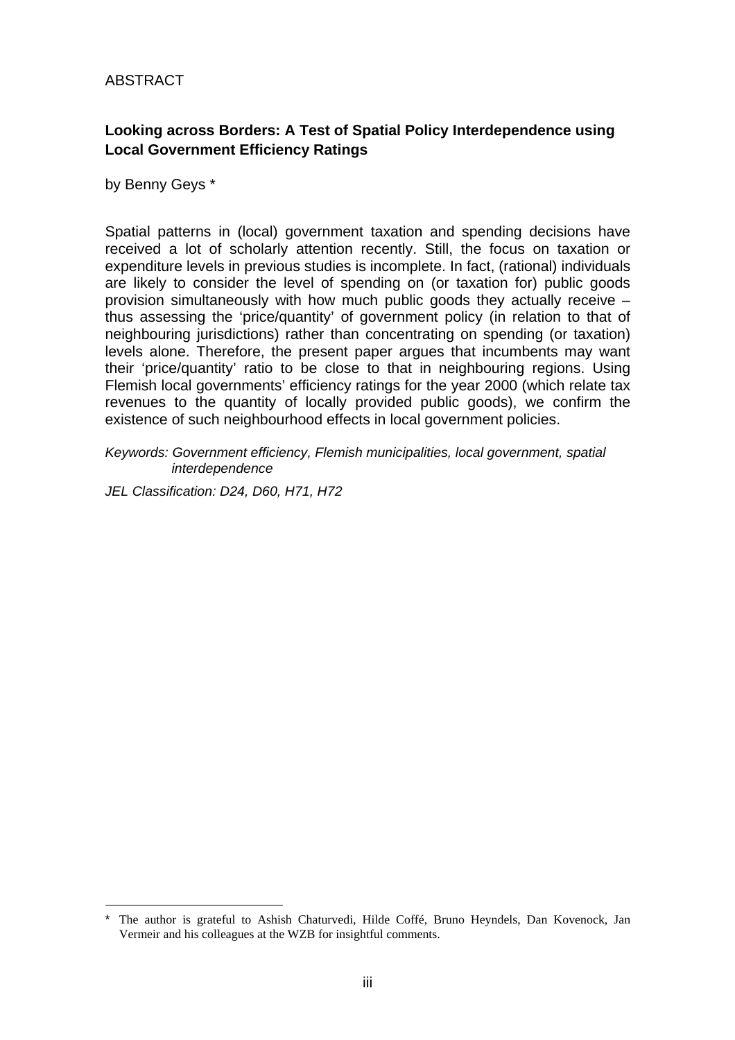# ABSTRACT

# **Looking across Borders: A Test of Spatial Policy Interdependence using Local Government Efficiency Ratings**

by Benny Geys \*

 $\overline{a}$ 

Spatial patterns in (local) government taxation and spending decisions have received a lot of scholarly attention recently. Still, the focus on taxation or expenditure levels in previous studies is incomplete. In fact, (rational) individuals are likely to consider the level of spending on (or taxation for) public goods provision simultaneously with how much public goods they actually receive – thus assessing the 'price/quantity' of government policy (in relation to that of neighbouring jurisdictions) rather than concentrating on spending (or taxation) levels alone. Therefore, the present paper argues that incumbents may want their 'price/quantity' ratio to be close to that in neighbouring regions. Using Flemish local governments' efficiency ratings for the year 2000 (which relate tax revenues to the quantity of locally provided public goods), we confirm the existence of such neighbourhood effects in local government policies.

*Keywords: Government efficiency, Flemish municipalities, local government, spatial interdependence* 

*JEL Classification: D24, D60, H71, H72* 

<sup>\*</sup> The author is grateful to Ashish Chaturvedi, Hilde Coffé, Bruno Heyndels, Dan Kovenock, Jan Vermeir and his colleagues at the WZB for insightful comments.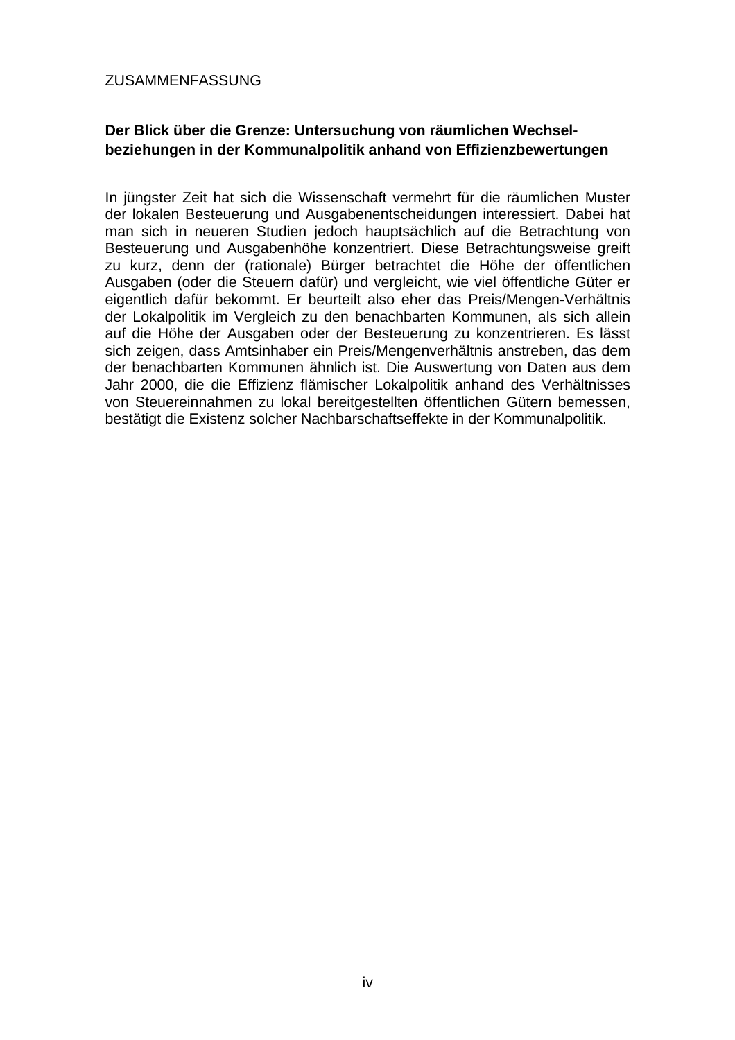## ZUSAMMENFASSUNG

# **Der Blick über die Grenze: Untersuchung von räumlichen Wechselbeziehungen in der Kommunalpolitik anhand von Effizienzbewertungen**

In jüngster Zeit hat sich die Wissenschaft vermehrt für die räumlichen Muster der lokalen Besteuerung und Ausgabenentscheidungen interessiert. Dabei hat man sich in neueren Studien jedoch hauptsächlich auf die Betrachtung von Besteuerung und Ausgabenhöhe konzentriert. Diese Betrachtungsweise greift zu kurz, denn der (rationale) Bürger betrachtet die Höhe der öffentlichen Ausgaben (oder die Steuern dafür) und vergleicht, wie viel öffentliche Güter er eigentlich dafür bekommt. Er beurteilt also eher das Preis/Mengen-Verhältnis der Lokalpolitik im Vergleich zu den benachbarten Kommunen, als sich allein auf die Höhe der Ausgaben oder der Besteuerung zu konzentrieren. Es lässt sich zeigen, dass Amtsinhaber ein Preis/Mengenverhältnis anstreben, das dem der benachbarten Kommunen ähnlich ist. Die Auswertung von Daten aus dem Jahr 2000, die die Effizienz flämischer Lokalpolitik anhand des Verhältnisses von Steuereinnahmen zu lokal bereitgestellten öffentlichen Gütern bemessen, bestätigt die Existenz solcher Nachbarschaftseffekte in der Kommunalpolitik.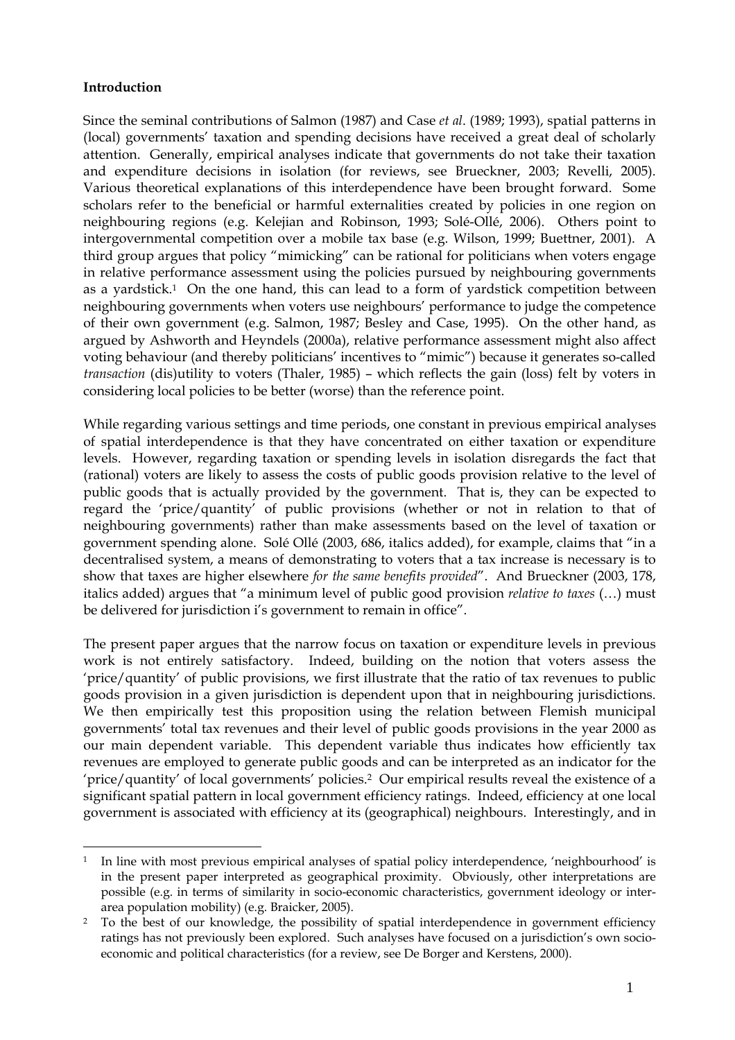## **Introduction**

 $\overline{a}$ 

Since the seminal contributions of Salmon (1987) and Case *et al*. (1989; 1993), spatial patterns in (local) governments' taxation and spending decisions have received a great deal of scholarly attention. Generally, empirical analyses indicate that governments do not take their taxation and expenditure decisions in isolation (for reviews, see Brueckner, 2003; Revelli, 2005). Various theoretical explanations of this interdependence have been brought forward. Some scholars refer to the beneficial or harmful externalities created by policies in one region on neighbouring regions (e.g. Kelejian and Robinson, 1993; Solé-Ollé, 2006). Others point to intergovernmental competition over a mobile tax base (e.g. Wilson, 1999; Buettner, 2001). A third group argues that policy "mimicking" can be rational for politicians when voters engage in relative performance assessment using the policies pursued by neighbouring governments as a yardstick.[1](#page-4-0) On the one hand, this can lead to a form of yardstick competition between neighbouring governments when voters use neighbours' performance to judge the competence of their own government (e.g. Salmon, 1987; Besley and Case, 1995). On the other hand, as argued by Ashworth and Heyndels (2000a), relative performance assessment might also affect voting behaviour (and thereby politicians' incentives to "mimic") because it generates so-called *transaction* (dis)utility to voters (Thaler, 1985) – which reflects the gain (loss) felt by voters in considering local policies to be better (worse) than the reference point.

While regarding various settings and time periods, one constant in previous empirical analyses of spatial interdependence is that they have concentrated on either taxation or expenditure levels. However, regarding taxation or spending levels in isolation disregards the fact that (rational) voters are likely to assess the costs of public goods provision relative to the level of public goods that is actually provided by the government. That is, they can be expected to regard the 'price/quantity' of public provisions (whether or not in relation to that of neighbouring governments) rather than make assessments based on the level of taxation or government spending alone. Solé Ollé (2003, 686, italics added), for example, claims that "in a decentralised system, a means of demonstrating to voters that a tax increase is necessary is to show that taxes are higher elsewhere *for the same benefits provided*". And Brueckner (2003, 178, italics added) argues that "a minimum level of public good provision *relative to taxes* (…) must be delivered for jurisdiction i's government to remain in office".

The present paper argues that the narrow focus on taxation or expenditure levels in previous work is not entirely satisfactory. Indeed, building on the notion that voters assess the 'price/quantity' of public provisions, we first illustrate that the ratio of tax revenues to public goods provision in a given jurisdiction is dependent upon that in neighbouring jurisdictions. We then empirically test this proposition using the relation between Flemish municipal governments' total tax revenues and their level of public goods provisions in the year 2000 as our main dependent variable. This dependent variable thus indicates how efficiently tax revenues are employed to generate public goods and can be interpreted as an indicator for the 'price/quantity' of local governments' policies.[2](#page-4-1) Our empirical results reveal the existence of a significant spatial pattern in local government efficiency ratings. Indeed, efficiency at one local government is associated with efficiency at its (geographical) neighbours. Interestingly, and in

<span id="page-4-0"></span><sup>&</sup>lt;sup>1</sup> In line with most previous empirical analyses of spatial policy interdependence, 'neighbourhood' is in the present paper interpreted as geographical proximity. Obviously, other interpretations are possible (e.g. in terms of similarity in socio-economic characteristics, government ideology or interarea population mobility) (e.g. Braicker, 2005).

<span id="page-4-1"></span><sup>&</sup>lt;sup>2</sup> To the best of our knowledge, the possibility of spatial interdependence in government efficiency ratings has not previously been explored. Such analyses have focused on a jurisdiction's own socioeconomic and political characteristics (for a review, see De Borger and Kerstens, 2000).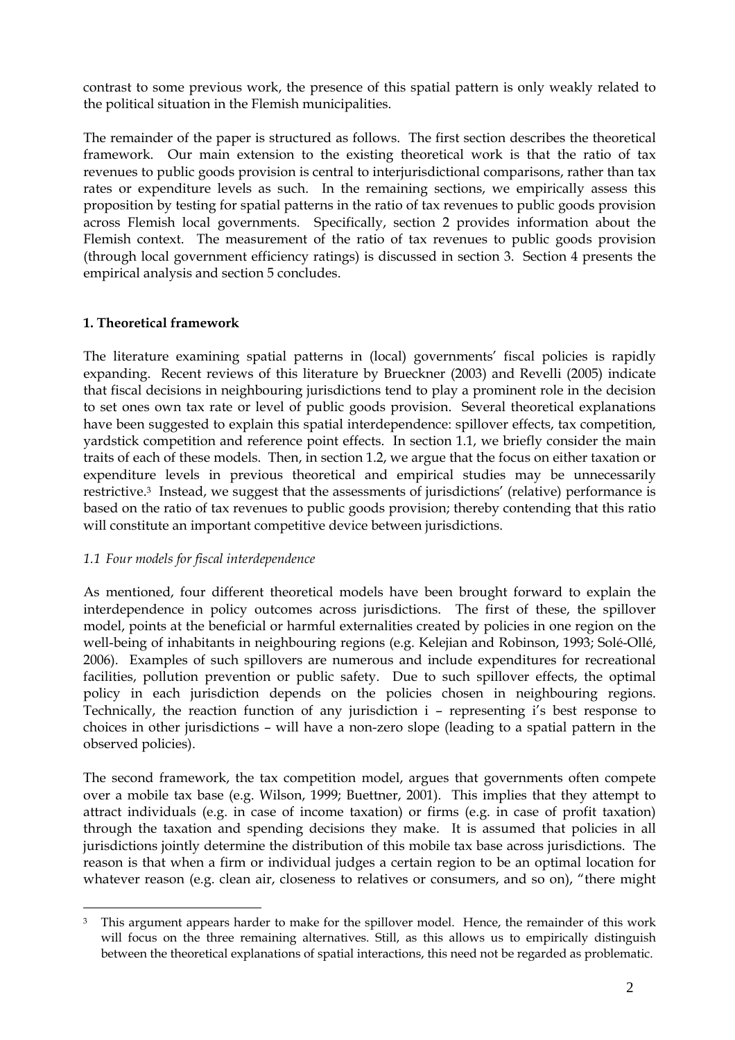contrast to some previous work, the presence of this spatial pattern is only weakly related to the political situation in the Flemish municipalities.

The remainder of the paper is structured as follows. The first section describes the theoretical framework. Our main extension to the existing theoretical work is that the ratio of tax revenues to public goods provision is central to interjurisdictional comparisons, rather than tax rates or expenditure levels as such. In the remaining sections, we empirically assess this proposition by testing for spatial patterns in the ratio of tax revenues to public goods provision across Flemish local governments. Specifically, section 2 provides information about the Flemish context. The measurement of the ratio of tax revenues to public goods provision (through local government efficiency ratings) is discussed in section 3. Section 4 presents the empirical analysis and section 5 concludes.

## **1. Theoretical framework**

The literature examining spatial patterns in (local) governments' fiscal policies is rapidly expanding. Recent reviews of this literature by Brueckner (2003) and Revelli (2005) indicate that fiscal decisions in neighbouring jurisdictions tend to play a prominent role in the decision to set ones own tax rate or level of public goods provision. Several theoretical explanations have been suggested to explain this spatial interdependence: spillover effects, tax competition, yardstick competition and reference point effects. In section 1.1, we briefly consider the main traits of each of these models. Then, in section 1.2, we argue that the focus on either taxation or expenditure levels in previous theoretical and empirical studies may be unnecessarily restrictive.[3](#page-5-0) Instead, we suggest that the assessments of jurisdictions' (relative) performance is based on the ratio of tax revenues to public goods provision; thereby contending that this ratio will constitute an important competitive device between jurisdictions.

## *1.1 Four models for fiscal interdependence*

 $\overline{a}$ 

As mentioned, four different theoretical models have been brought forward to explain the interdependence in policy outcomes across jurisdictions. The first of these, the spillover model, points at the beneficial or harmful externalities created by policies in one region on the well-being of inhabitants in neighbouring regions (e.g. Kelejian and Robinson, 1993; Solé-Ollé, 2006). Examples of such spillovers are numerous and include expenditures for recreational facilities, pollution prevention or public safety. Due to such spillover effects, the optimal policy in each jurisdiction depends on the policies chosen in neighbouring regions. Technically, the reaction function of any jurisdiction i – representing i's best response to choices in other jurisdictions – will have a non-zero slope (leading to a spatial pattern in the observed policies).

The second framework, the tax competition model, argues that governments often compete over a mobile tax base (e.g. Wilson, 1999; Buettner, 2001). This implies that they attempt to attract individuals (e.g. in case of income taxation) or firms (e.g. in case of profit taxation) through the taxation and spending decisions they make. It is assumed that policies in all jurisdictions jointly determine the distribution of this mobile tax base across jurisdictions. The reason is that when a firm or individual judges a certain region to be an optimal location for whatever reason (e.g. clean air, closeness to relatives or consumers, and so on), "there might

<span id="page-5-0"></span><sup>&</sup>lt;sup>3</sup> This argument appears harder to make for the spillover model. Hence, the remainder of this work will focus on the three remaining alternatives. Still, as this allows us to empirically distinguish between the theoretical explanations of spatial interactions, this need not be regarded as problematic.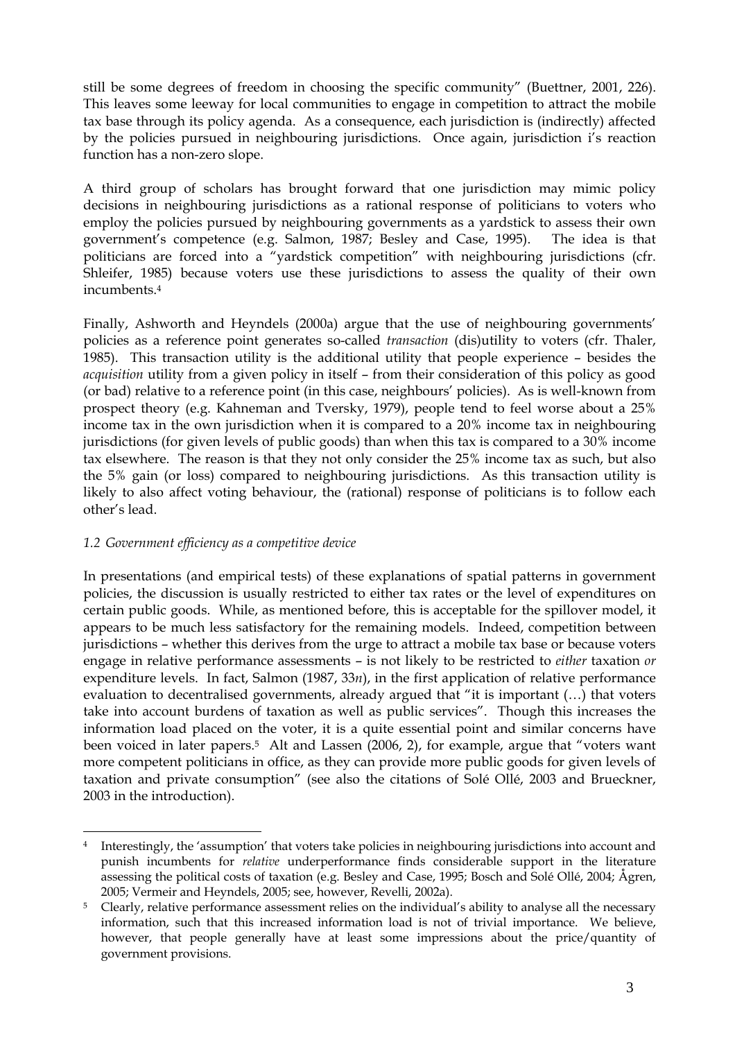still be some degrees of freedom in choosing the specific community" (Buettner, 2001, 226). This leaves some leeway for local communities to engage in competition to attract the mobile tax base through its policy agenda. As a consequence, each jurisdiction is (indirectly) affected by the policies pursued in neighbouring jurisdictions. Once again, jurisdiction i's reaction function has a non-zero slope.

A third group of scholars has brought forward that one jurisdiction may mimic policy decisions in neighbouring jurisdictions as a rational response of politicians to voters who employ the policies pursued by neighbouring governments as a yardstick to assess their own government's competence (e.g. Salmon, 1987; Besley and Case, 1995). The idea is that politicians are forced into a "yardstick competition" with neighbouring jurisdictions (cfr. Shleifer, 1985) because voters use these jurisdictions to assess the quality of their own incumbents[.4](#page-6-0) 

Finally, Ashworth and Heyndels (2000a) argue that the use of neighbouring governments' policies as a reference point generates so-called *transaction* (dis)utility to voters (cfr. Thaler, 1985). This transaction utility is the additional utility that people experience – besides the *acquisition* utility from a given policy in itself – from their consideration of this policy as good (or bad) relative to a reference point (in this case, neighbours' policies). As is well-known from prospect theory (e.g. Kahneman and Tversky, 1979), people tend to feel worse about a 25% income tax in the own jurisdiction when it is compared to a 20% income tax in neighbouring jurisdictions (for given levels of public goods) than when this tax is compared to a 30% income tax elsewhere. The reason is that they not only consider the 25% income tax as such, but also the 5% gain (or loss) compared to neighbouring jurisdictions. As this transaction utility is likely to also affect voting behaviour, the (rational) response of politicians is to follow each other's lead.

## *1.2 Government efficiency as a competitive device*

 $\overline{a}$ 

In presentations (and empirical tests) of these explanations of spatial patterns in government policies, the discussion is usually restricted to either tax rates or the level of expenditures on certain public goods. While, as mentioned before, this is acceptable for the spillover model, it appears to be much less satisfactory for the remaining models. Indeed, competition between jurisdictions – whether this derives from the urge to attract a mobile tax base or because voters engage in relative performance assessments – is not likely to be restricted to *either* taxation *or* expenditure levels. In fact, Salmon (1987, 33*n*), in the first application of relative performance evaluation to decentralised governments, already argued that "it is important (…) that voters take into account burdens of taxation as well as public services". Though this increases the information load placed on the voter, it is a quite essential point and similar concerns have been voiced in later papers.<sup>5</sup> Alt and Lassen (2006, 2), for example, argue that "voters want more competent politicians in office, as they can provide more public goods for given levels of taxation and private consumption" (see also the citations of Solé Ollé, 2003 and Brueckner, 2003 in the introduction).

<span id="page-6-0"></span><sup>&</sup>lt;sup>4</sup> Interestingly, the 'assumption' that voters take policies in neighbouring jurisdictions into account and punish incumbents for *relative* underperformance finds considerable support in the literature assessing the political costs of taxation (e.g. Besley and Case, 1995; Bosch and Solé Ollé, 2004; Ågren, 2005; Vermeir and Heyndels, 2005; see, however, Revelli, 2002a).

<span id="page-6-1"></span><sup>&</sup>lt;sup>5</sup> Clearly, relative performance assessment relies on the individual's ability to analyse all the necessary information, such that this increased information load is not of trivial importance. We believe, however, that people generally have at least some impressions about the price/quantity of government provisions.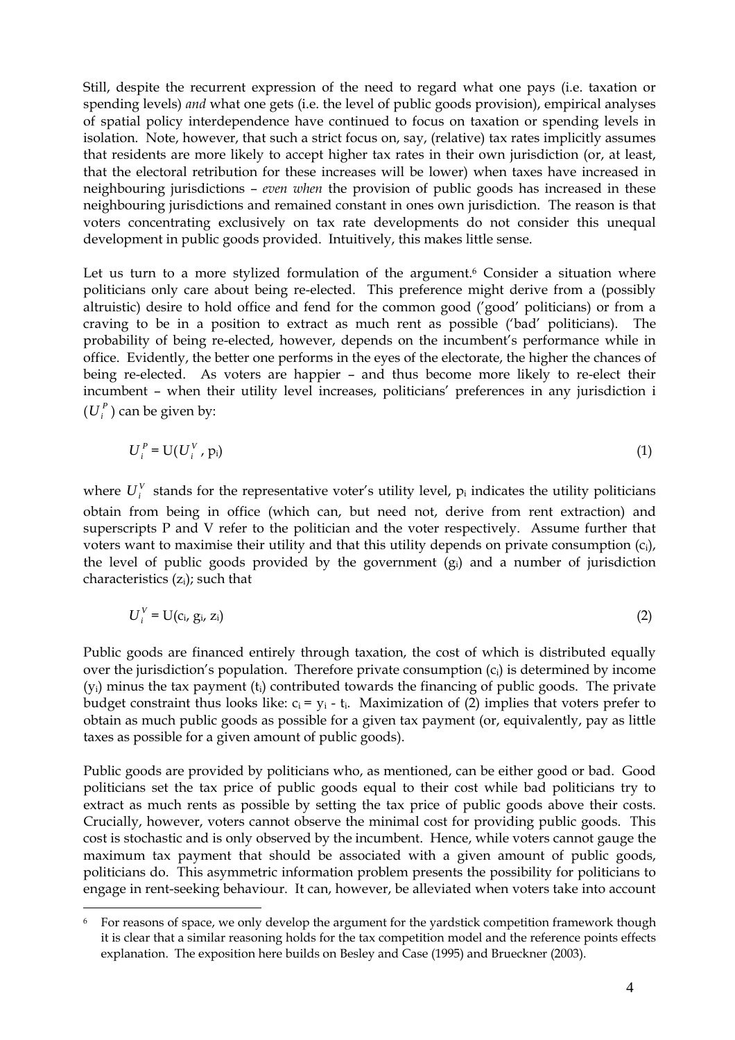Still, despite the recurrent expression of the need to regard what one pays (i.e. taxation or spending levels) *and* what one gets (i.e. the level of public goods provision), empirical analyses of spatial policy interdependence have continued to focus on taxation or spending levels in isolation. Note, however, that such a strict focus on, say, (relative) tax rates implicitly assumes that residents are more likely to accept higher tax rates in their own jurisdiction (or, at least, that the electoral retribution for these increases will be lower) when taxes have increased in neighbouring jurisdictions – *even when* the provision of public goods has increased in these neighbouring jurisdictions and remained constant in ones own jurisdiction. The reason is that voters concentrating exclusively on tax rate developments do not consider this unequal development in public goods provided. Intuitively, this makes little sense.

Let us turn to a more stylized formulation of the argument.<sup>6</sup> Consider a situation where politicians only care about being re-elected. This preference might derive from a (possibly altruistic) desire to hold office and fend for the common good ('good' politicians) or from a craving to be in a position to extract as much rent as possible ('bad' politicians). The probability of being re-elected, however, depends on the incumbent's performance while in office. Evidently, the better one performs in the eyes of the electorate, the higher the chances of being re-elected. As voters are happier – and thus become more likely to re-elect their incumbent – when their utility level increases, politicians' preferences in any jurisdiction i  $(U_i^P)$  can be given by:

$$
U_i^P = U(U_i^V, p_i) \tag{1}
$$

where  $U_i^V$  stands for the representative voter's utility level,  $p_i$  indicates the utility politicians obtain from being in office (which can, but need not, derive from rent extraction) and superscripts P and V refer to the politician and the voter respectively. Assume further that voters want to maximise their utility and that this utility depends on private consumption (ci), the level of public goods provided by the government (gi) and a number of jurisdiction characteristics  $(z<sub>i</sub>)$ ; such that

$$
U_i^V = U(c_i, g_i, z_i)
$$
 (2)

Public goods are financed entirely through taxation, the cost of which is distributed equally over the jurisdiction's population. Therefore private consumption  $(c_i)$  is determined by income  $(y<sub>i</sub>)$  minus the tax payment  $(t<sub>i</sub>)$  contributed towards the financing of public goods. The private budget constraint thus looks like:  $c_i = y_i - t_i$ . Maximization of (2) implies that voters prefer to obtain as much public goods as possible for a given tax payment (or, equivalently, pay as little taxes as possible for a given amount of public goods).

Public goods are provided by politicians who, as mentioned, can be either good or bad. Good politicians set the tax price of public goods equal to their cost while bad politicians try to extract as much rents as possible by setting the tax price of public goods above their costs. Crucially, however, voters cannot observe the minimal cost for providing public goods. This cost is stochastic and is only observed by the incumbent. Hence, while voters cannot gauge the maximum tax payment that should be associated with a given amount of public goods, politicians do. This asymmetric information problem presents the possibility for politicians to engage in rent-seeking behaviour. It can, however, be alleviated when voters take into account

 $\overline{a}$ 

<span id="page-7-0"></span><sup>&</sup>lt;sup>6</sup> For reasons of space, we only develop the argument for the yardstick competition framework though it is clear that a similar reasoning holds for the tax competition model and the reference points effects explanation. The exposition here builds on Besley and Case (1995) and Brueckner (2003).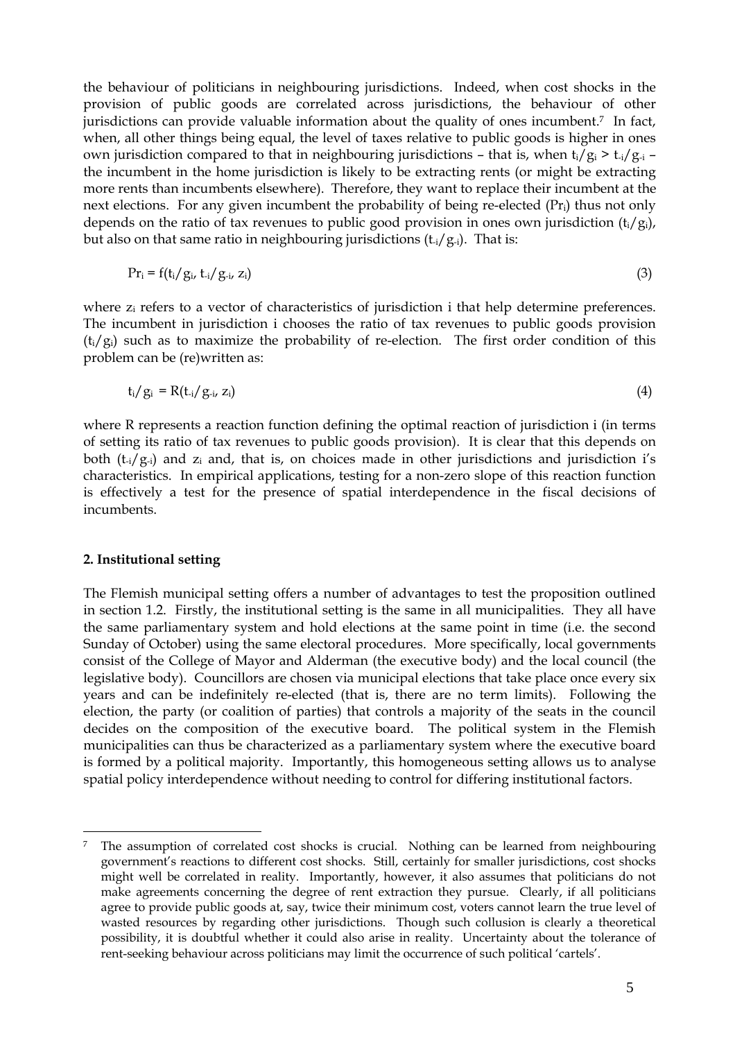the behaviour of politicians in neighbouring jurisdictions. Indeed, when cost shocks in the provision of public goods are correlated across jurisdictions, the behaviour of other jurisdictions can provide valuable information about the quality of ones incumbent.<sup>7</sup> In fact, when, all other things being equal, the level of taxes relative to public goods is high[er](#page-8-0) in ones own jurisdiction compared to that in neighbouring jurisdictions – that is, when  $t_i/g_i > t_i/g_{-i}$  – the incumbent in the home jurisdiction is likely to be extracting rents (or might be extracting more rents than incumbents elsewhere). Therefore, they want to replace their incumbent at the next elections. For any given incumbent the probability of being re-elected (Pr<sub>i</sub>) thus not only depends on the ratio of tax revenues to public good provision in ones own jurisdiction  $(t_i/g_i)$ , but also on that same ratio in neighbouring jurisdictions  $(t_i/g_i)$ . That is:

$$
Pr_i = f(t_i/g_i, t_i/g_i, z_i)
$$
\n(3)

where  $z_i$  refers to a vector of characteristics of jurisdiction i that help determine preferences. The incumbent in jurisdiction i chooses the ratio of tax revenues to public goods provision  $(t_i/g_i)$  such as to maximize the probability of re-election. The first order condition of this problem can be (re)written as:

$$
t_i/g_i = R(t_i/g_{-i}, z_i)
$$
 (4)

where R represents a reaction function defining the optimal reaction of jurisdiction i (in terms of setting its ratio of tax revenues to public goods provision). It is clear that this depends on both  $(t_i/g_i)$  and  $z_i$  and, that is, on choices made in other jurisdictions and jurisdiction i's characteristics. In empirical applications, testing for a non-zero slope of this reaction function is effectively a test for the presence of spatial interdependence in the fiscal decisions of incumbents.

#### **2. Institutional setting**

 $\overline{a}$ 

The Flemish municipal setting offers a number of advantages to test the proposition outlined in section 1.2. Firstly, the institutional setting is the same in all municipalities. They all have the same parliamentary system and hold elections at the same point in time (i.e. the second Sunday of October) using the same electoral procedures. More specifically, local governments consist of the College of Mayor and Alderman (the executive body) and the local council (the legislative body). Councillors are chosen via municipal elections that take place once every six years and can be indefinitely re-elected (that is, there are no term limits). Following the election, the party (or coalition of parties) that controls a majority of the seats in the council decides on the composition of the executive board. The political system in the Flemish municipalities can thus be characterized as a parliamentary system where the executive board is formed by a political majority. Importantly, this homogeneous setting allows us to analyse spatial policy interdependence without needing to control for differing institutional factors.

<span id="page-8-0"></span>The assumption of correlated cost shocks is crucial. Nothing can be learned from neighbouring government's reactions to different cost shocks. Still, certainly for smaller jurisdictions, cost shocks might well be correlated in reality. Importantly, however, it also assumes that politicians do not make agreements concerning the degree of rent extraction they pursue. Clearly, if all politicians agree to provide public goods at, say, twice their minimum cost, voters cannot learn the true level of wasted resources by regarding other jurisdictions. Though such collusion is clearly a theoretical possibility, it is doubtful whether it could also arise in reality. Uncertainty about the tolerance of rent-seeking behaviour across politicians may limit the occurrence of such political 'cartels'.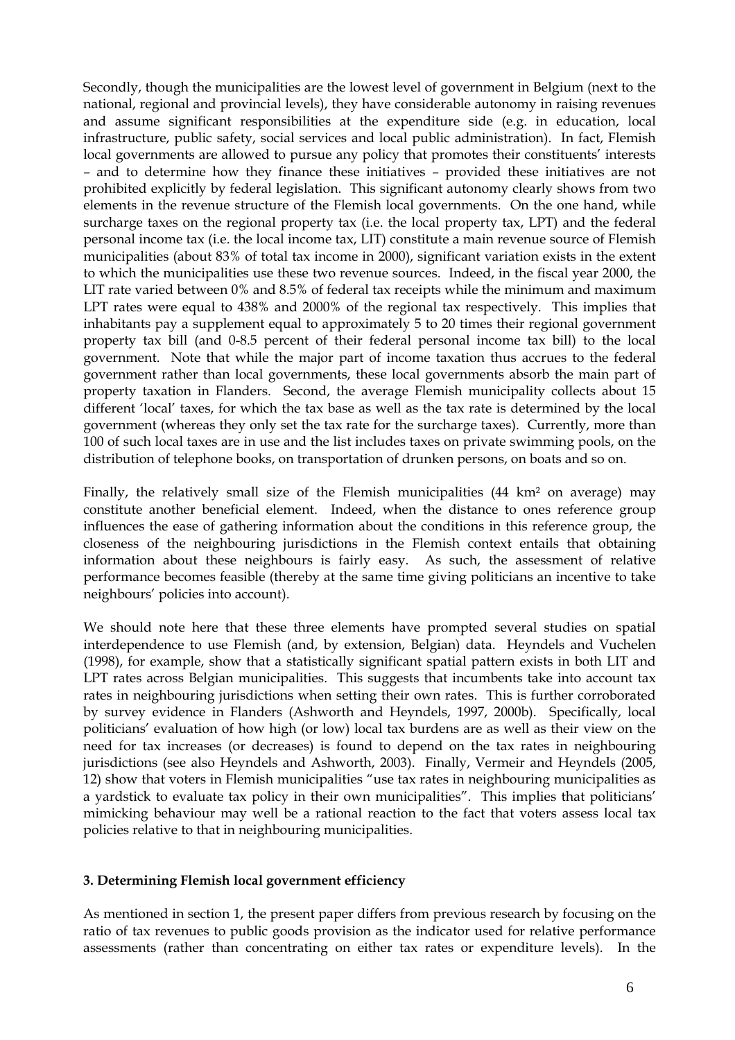Secondly, though the municipalities are the lowest level of government in Belgium (next to the national, regional and provincial levels), they have considerable autonomy in raising revenues and assume significant responsibilities at the expenditure side (e.g. in education, local infrastructure, public safety, social services and local public administration). In fact, Flemish local governments are allowed to pursue any policy that promotes their constituents' interests – and to determine how they finance these initiatives – provided these initiatives are not prohibited explicitly by federal legislation. This significant autonomy clearly shows from two elements in the revenue structure of the Flemish local governments. On the one hand, while surcharge taxes on the regional property tax (i.e. the local property tax, LPT) and the federal personal income tax (i.e. the local income tax, LIT) constitute a main revenue source of Flemish municipalities (about 83% of total tax income in 2000), significant variation exists in the extent to which the municipalities use these two revenue sources. Indeed, in the fiscal year 2000, the LIT rate varied between 0% and 8.5% of federal tax receipts while the minimum and maximum LPT rates were equal to 438% and 2000% of the regional tax respectively. This implies that inhabitants pay a supplement equal to approximately 5 to 20 times their regional government property tax bill (and 0-8.5 percent of their federal personal income tax bill) to the local government. Note that while the major part of income taxation thus accrues to the federal government rather than local governments, these local governments absorb the main part of property taxation in Flanders. Second, the average Flemish municipality collects about 15 different 'local' taxes, for which the tax base as well as the tax rate is determined by the local government (whereas they only set the tax rate for the surcharge taxes). Currently, more than 100 of such local taxes are in use and the list includes taxes on private swimming pools, on the distribution of telephone books, on transportation of drunken persons, on boats and so on.

Finally, the relatively small size of the Flemish municipalities (44 km² on average) may constitute another beneficial element. Indeed, when the distance to ones reference group influences the ease of gathering information about the conditions in this reference group, the closeness of the neighbouring jurisdictions in the Flemish context entails that obtaining information about these neighbours is fairly easy. As such, the assessment of relative performance becomes feasible (thereby at the same time giving politicians an incentive to take neighbours' policies into account).

We should note here that these three elements have prompted several studies on spatial interdependence to use Flemish (and, by extension, Belgian) data. Heyndels and Vuchelen (1998), for example, show that a statistically significant spatial pattern exists in both LIT and LPT rates across Belgian municipalities. This suggests that incumbents take into account tax rates in neighbouring jurisdictions when setting their own rates. This is further corroborated by survey evidence in Flanders (Ashworth and Heyndels, 1997, 2000b). Specifically, local politicians' evaluation of how high (or low) local tax burdens are as well as their view on the need for tax increases (or decreases) is found to depend on the tax rates in neighbouring jurisdictions (see also Heyndels and Ashworth, 2003). Finally, Vermeir and Heyndels (2005, 12) show that voters in Flemish municipalities "use tax rates in neighbouring municipalities as a yardstick to evaluate tax policy in their own municipalities". This implies that politicians' mimicking behaviour may well be a rational reaction to the fact that voters assess local tax policies relative to that in neighbouring municipalities.

#### **3. Determining Flemish local government efficiency**

As mentioned in section 1, the present paper differs from previous research by focusing on the ratio of tax revenues to public goods provision as the indicator used for relative performance assessments (rather than concentrating on either tax rates or expenditure levels). In the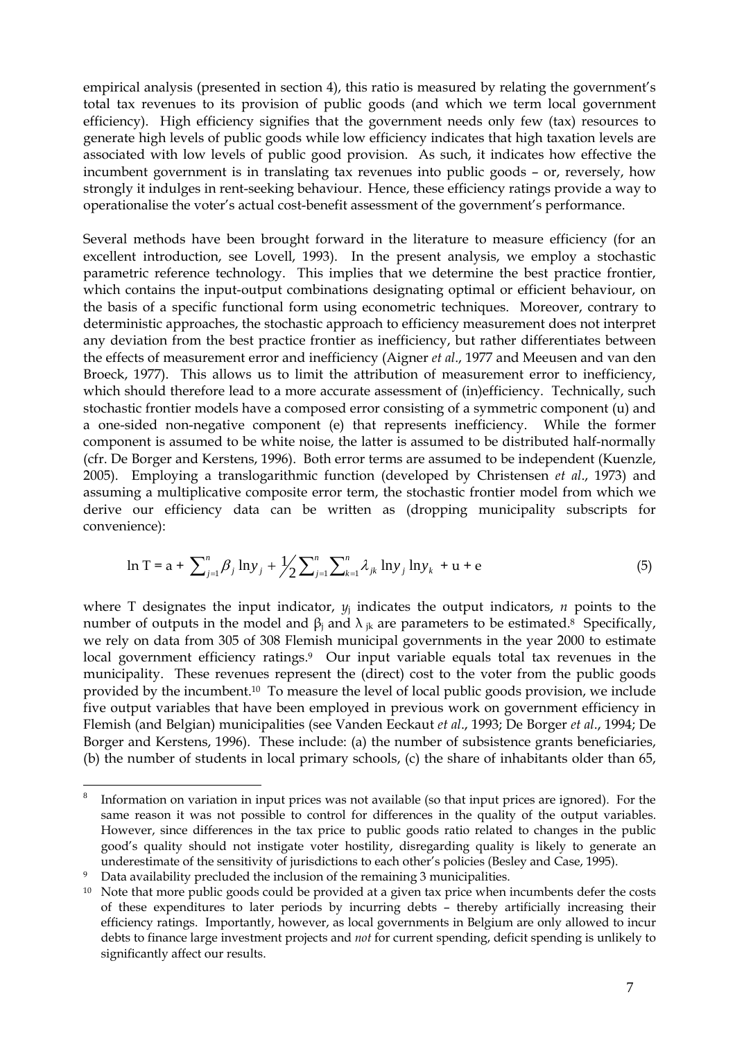empirical analysis (presented in section 4), this ratio is measured by relating the government's total tax revenues to its provision of public goods (and which we term local government efficiency). High efficiency signifies that the government needs only few (tax) resources to generate high levels of public goods while low efficiency indicates that high taxation levels are associated with low levels of public good provision. As such, it indicates how effective the incumbent government is in translating tax revenues into public goods – or, reversely, how strongly it indulges in rent-seeking behaviour. Hence, these efficiency ratings provide a way to operationalise the voter's actual cost-benefit assessment of the government's performance.

Several methods have been brought forward in the literature to measure efficiency (for an excellent introduction, see Lovell, 1993). In the present analysis, we employ a stochastic parametric reference technology. This implies that we determine the best practice frontier, which contains the input-output combinations designating optimal or efficient behaviour, on the basis of a specific functional form using econometric techniques. Moreover, contrary to deterministic approaches, the stochastic approach to efficiency measurement does not interpret any deviation from the best practice frontier as inefficiency, but rather differentiates between the effects of measurement error and inefficiency (Aigner *et al*., 1977 and Meeusen and van den Broeck, 1977). This allows us to limit the attribution of measurement error to inefficiency, which should therefore lead to a more accurate assessment of (in)efficiency. Technically, such stochastic frontier models have a composed error consisting of a symmetric component (u) and a one-sided non-negative component (e) that represents inefficiency. While the former component is assumed to be white noise, the latter is assumed to be distributed half-normally (cfr. De Borger and Kerstens, 1996). Both error terms are assumed to be independent (Kuenzle, 2005). Employing a translogarithmic function (developed by Christensen *et al*., 1973) and assuming a multiplicative composite error term, the stochastic frontier model from which we derive our efficiency data can be written as (dropping municipality subscripts for convenience):

$$
\ln T = a + \sum_{j=1}^{n} \beta_j \ln y_j + \frac{1}{2} \sum_{j=1}^{n} \sum_{k=1}^{n} \lambda_{jk} \ln y_j \ln y_k + u + e
$$
 (5)

where T designates the input indicator,  $y_i$  indicates the output indicators, *n* points to the number of outputs in the model and  $β<sub>i</sub>$  and  $λ<sub>ik</sub>$  are parameters to be estimated.<sup>8</sup> Specifically, we rely on data from 305 of 308 Flemish municipal governments in the year 2000 to estimate local government efficiency ratings.<sup>9</sup> Our input variable equals total tax revenues in the municipality. These revenues represent the (direct) cost to the voter from the public goods provided by the incumbent.[10](#page-10-2) To measure the level of local public goods provision, we include five output variables that have been employed in previous work on government efficiency in Flemish (and Belgian) municipalities (see Vanden Eeckaut *et al*., 1993; De Borger *et al*., 1994; De Borger and Kerstens, 1996). These include: (a) the number of subsistence grants beneficiaries, (b) the number of students in local primary schools, (c) the share of inhabitants older than 65,

 $\overline{a}$ 

<span id="page-10-0"></span>Information on variation in input prices was not available (so that input prices are ignored). For the same reason it was not possible to control for differences in the quality of the output variables. However, since differences in the tax price to public goods ratio related to changes in the public good's quality should not instigate voter hostility, disregarding quality is likely to generate an underestimate of the sensitivity of jurisdictions to each other's policies (Besley and Case, 1995).

<span id="page-10-1"></span><sup>&</sup>lt;sup>9</sup> Data availability precluded the inclusion of the remaining 3 municipalities.

<span id="page-10-2"></span><sup>&</sup>lt;sup>10</sup> Note that more public goods could be provided at a given tax price when incumbents defer the costs of these expenditures to later periods by incurring debts – thereby artificially increasing their efficiency ratings. Importantly, however, as local governments in Belgium are only allowed to incur debts to finance large investment projects and *not* for current spending, deficit spending is unlikely to significantly affect our results.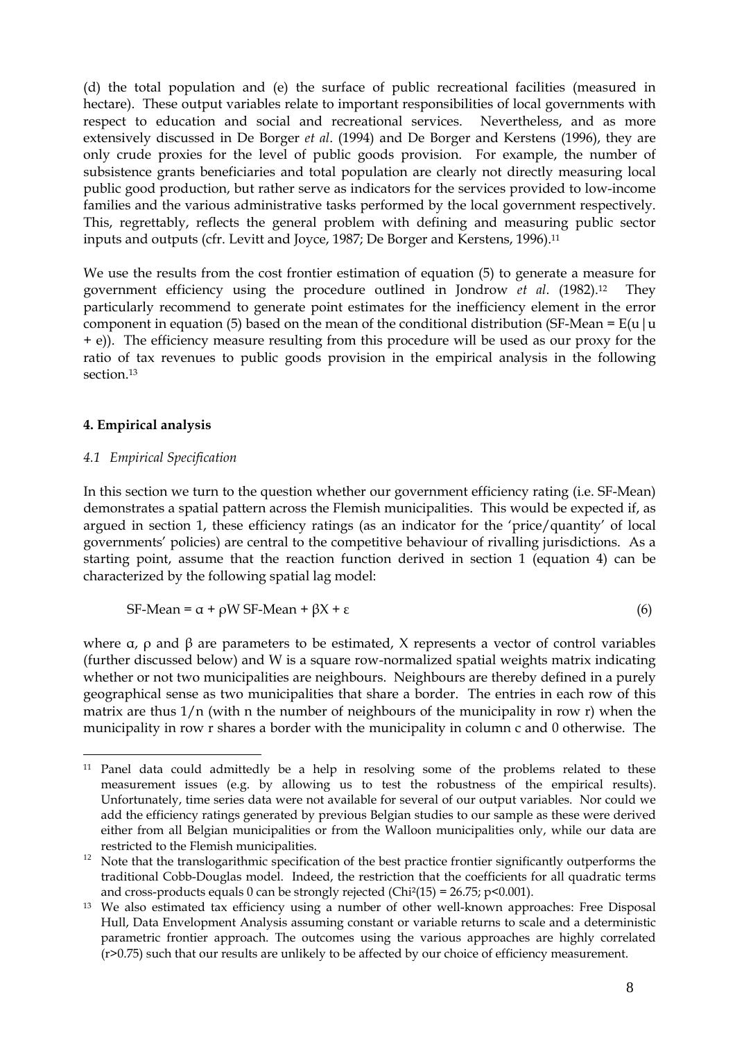(d) the total population and (e) the surface of public recreational facilities (measured in hectare). These output variables relate to important responsibilities of local governments with respect to education and social and recreational services. Nevertheless, and as more extensively discussed in De Borger *et al*. (1994) and De Borger and Kerstens (1996), they are only crude proxies for the level of public goods provision. For example, the number of subsistence grants beneficiaries and total population are clearly not directly measuring local public good production, but rather serve as indicators for the services provided to low-income families and the various administrative tasks performed by the local government respectively. This, regrettably, reflects the general problem with defining and measuring public sector inputs and outputs (cfr. Levitt and Joyce, 1987; De Borger and Kerstens, 1996).<sup>11</sup>

We use the results from the cost frontier estimation of equation (5) to generate a measure for government efficiency using the procedure outlined in Jondrow *et al*. (1982).[12](#page-11-1) They particularly recommend to generate point estimates for the inefficiency element in the error component in equation (5) based on the mean of the conditional distribution (SF-Mean =  $E(u|u)$ + e)). The efficiency measure resulting from this procedure will be used as our proxy for the ratio of tax revenues to public goods provision in the empirical analysis in the following section[.13](#page-11-2) 

## **4. Empirical analysis**

 $\overline{a}$ 

#### *4.1 Empirical Specification*

In this section we turn to the question whether our government efficiency rating (i.e. SF-Mean) demonstrates a spatial pattern across the Flemish municipalities. This would be expected if, as argued in section 1, these efficiency ratings (as an indicator for the 'price/quantity' of local governments' policies) are central to the competitive behaviour of rivalling jurisdictions. As a starting point, assume that the reaction function derived in section 1 (equation 4) can be characterized by the following spatial lag model:

$$
SF-Mean = \alpha + \rho W SF-Mean + \beta X + \varepsilon
$$
\n(6)

where  $\alpha$ ,  $\rho$  and  $\beta$  are parameters to be estimated, X represents a vector of control variables (further discussed below) and W is a square row-normalized spatial weights matrix indicating whether or not two municipalities are neighbours. Neighbours are thereby defined in a purely geographical sense as two municipalities that share a border. The entries in each row of this matrix are thus 1/n (with n the number of neighbours of the municipality in row r) when the municipality in row r shares a border with the municipality in column c and 0 otherwise. The

<span id="page-11-0"></span><sup>11</sup> Panel data could admittedly be a help in resolving some of the problems related to these measurement issues (e.g. by allowing us to test the robustness of the empirical results). Unfortunately, time series data were not available for several of our output variables. Nor could we add the efficiency ratings generated by previous Belgian studies to our sample as these were derived either from all Belgian municipalities or from the Walloon municipalities only, while our data are restricted to the Flemish municipalities.

<span id="page-11-1"></span><sup>&</sup>lt;sup>12</sup> Note that the translogarithmic specification of the best practice frontier significantly outperforms the traditional Cobb-Douglas model. Indeed, the restriction that the coefficients for all quadratic terms and cross-products equals 0 can be strongly rejected (Chi<sup>2</sup>(15) = 26.75; p<0.001).

<span id="page-11-2"></span><sup>13</sup> We also estimated tax efficiency using a number of other well-known approaches: Free Disposal Hull, Data Envelopment Analysis assuming constant or variable returns to scale and a deterministic parametric frontier approach. The outcomes using the various approaches are highly correlated (r>0.75) such that our results are unlikely to be affected by our choice of efficiency measurement.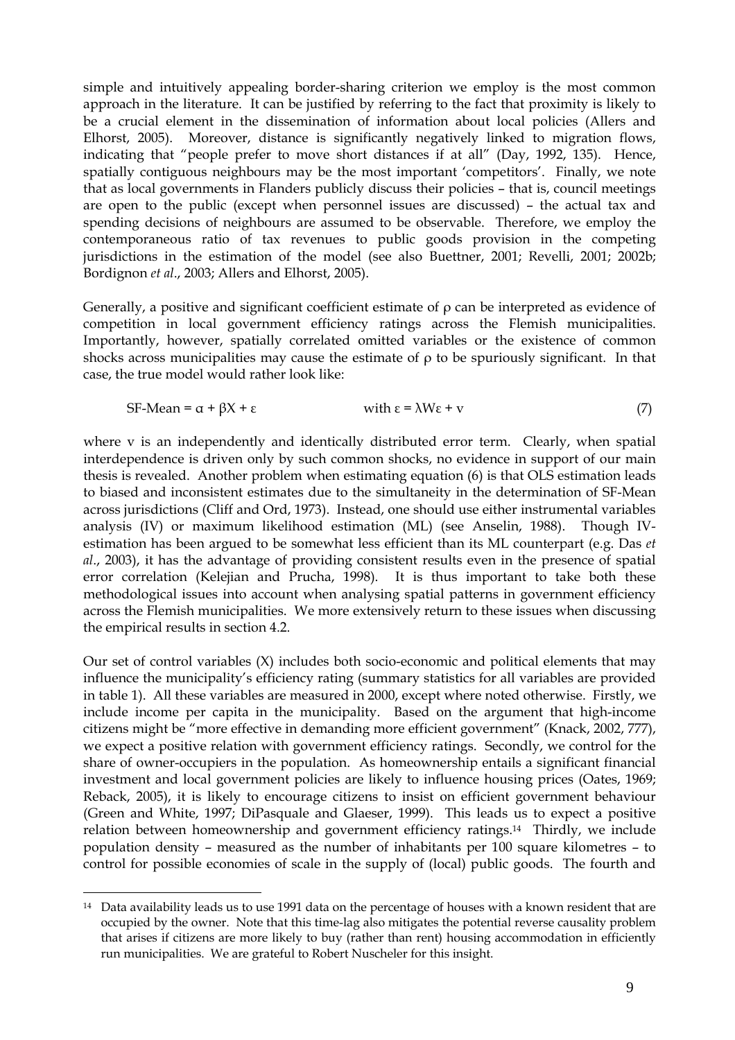simple and intuitively appealing border-sharing criterion we employ is the most common approach in the literature. It can be justified by referring to the fact that proximity is likely to be a crucial element in the dissemination of information about local policies (Allers and Elhorst, 2005). Moreover, distance is significantly negatively linked to migration flows, indicating that "people prefer to move short distances if at all" (Day, 1992, 135). Hence, spatially contiguous neighbours may be the most important 'competitors'. Finally, we note that as local governments in Flanders publicly discuss their policies – that is, council meetings are open to the public (except when personnel issues are discussed) – the actual tax and spending decisions of neighbours are assumed to be observable. Therefore, we employ the contemporaneous ratio of tax revenues to public goods provision in the competing jurisdictions in the estimation of the model (see also Buettner, 2001; Revelli, 2001; 2002b; Bordignon *et al*., 2003; Allers and Elhorst, 2005).

Generally, a positive and significant coefficient estimate of ρ can be interpreted as evidence of competition in local government efficiency ratings across the Flemish municipalities. Importantly, however, spatially correlated omitted variables or the existence of common shocks across municipalities may cause the estimate of  $\rho$  to be spuriously significant. In that case, the true model would rather look like:

$$
SF-Mean = \alpha + \beta X + \varepsilon \qquad \qquad \text{with } \varepsilon = \lambda W \varepsilon + v \tag{7}
$$

where v is an independently and identically distributed error term. Clearly, when spatial interdependence is driven only by such common shocks, no evidence in support of our main thesis is revealed. Another problem when estimating equation (6) is that OLS estimation leads to biased and inconsistent estimates due to the simultaneity in the determination of SF-Mean across jurisdictions (Cliff and Ord, 1973). Instead, one should use either instrumental variables analysis (IV) or maximum likelihood estimation (ML) (see Anselin, 1988). Though IVestimation has been argued to be somewhat less efficient than its ML counterpart (e.g. Das *et al*., 2003), it has the advantage of providing consistent results even in the presence of spatial error correlation (Kelejian and Prucha, 1998). It is thus important to take both these methodological issues into account when analysing spatial patterns in government efficiency across the Flemish municipalities. We more extensively return to these issues when discussing the empirical results in section 4.2.

Our set of control variables (X) includes both socio-economic and political elements that may influence the municipality's efficiency rating (summary statistics for all variables are provided in table 1). All these variables are measured in 2000, except where noted otherwise. Firstly, we include income per capita in the municipality. Based on the argument that high-income citizens might be "more effective in demanding more efficient government" (Knack, 2002, 777), we expect a positive relation with government efficiency ratings. Secondly, we control for the share of owner-occupiers in the population. As homeownership entails a significant financial investment and local government policies are likely to influence housing prices (Oates, 1969; Reback, 2005), it is likely to encourage citizens to insist on efficient government behaviour (Green and White, 1997; DiPasquale and Glaeser, 1999). This leads us to expect a positive relation between homeownership and government efficiency ratings.[14](#page-12-0) Thirdly, we include population density – measured as the number of inhabitants per 100 square kilometres – to control for possible economies of scale in the supply of (local) public goods. The fourth and

 $\overline{a}$ 

<span id="page-12-0"></span><sup>&</sup>lt;sup>14</sup> Data availability leads us to use 1991 data on the percentage of houses with a known resident that are occupied by the owner. Note that this time-lag also mitigates the potential reverse causality problem that arises if citizens are more likely to buy (rather than rent) housing accommodation in efficiently run municipalities. We are grateful to Robert Nuscheler for this insight.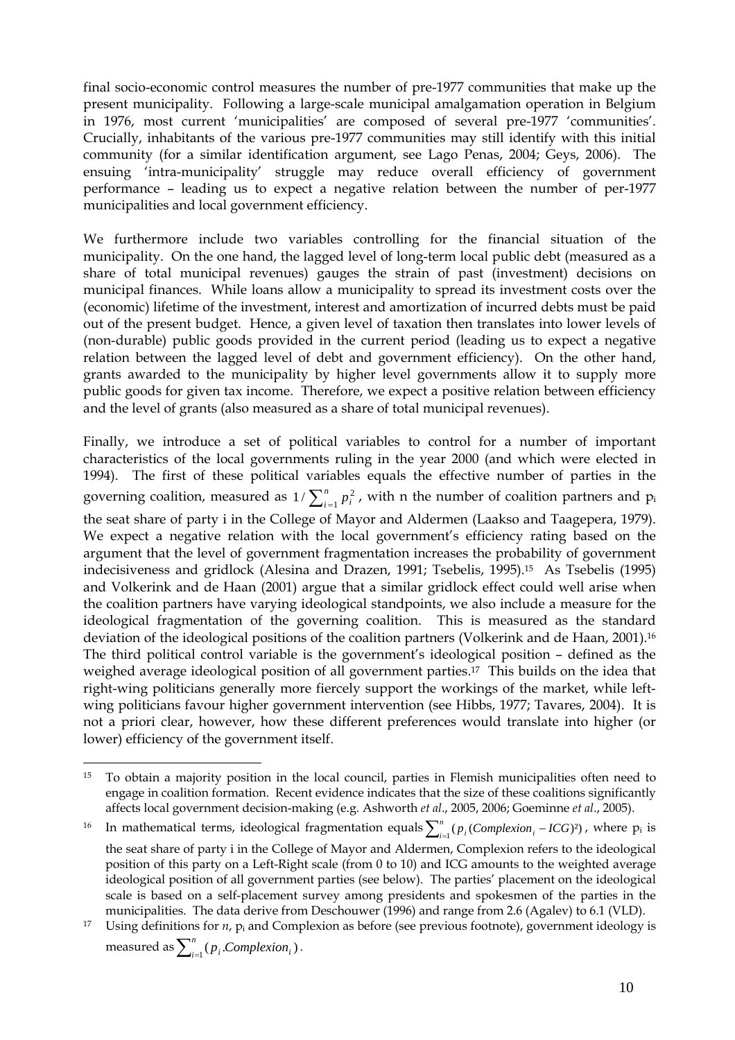final socio-economic control measures the number of pre-1977 communities that make up the present municipality. Following a large-scale municipal amalgamation operation in Belgium in 1976, most current 'municipalities' are composed of several pre-1977 'communities'. Crucially, inhabitants of the various pre-1977 communities may still identify with this initial community (for a similar identification argument, see Lago Penas, 2004; Geys, 2006). The ensuing 'intra-municipality' struggle may reduce overall efficiency of government performance – leading us to expect a negative relation between the number of per-1977 municipalities and local government efficiency.

We furthermore include two variables controlling for the financial situation of the municipality. On the one hand, the lagged level of long-term local public debt (measured as a share of total municipal revenues) gauges the strain of past (investment) decisions on municipal finances. While loans allow a municipality to spread its investment costs over the (economic) lifetime of the investment, interest and amortization of incurred debts must be paid out of the present budget. Hence, a given level of taxation then translates into lower levels of (non-durable) public goods provided in the current period (leading us to expect a negative relation between the lagged level of debt and government efficiency). On the other hand, grants awarded to the municipality by higher level governments allow it to supply more public goods for given tax income. Therefore, we expect a positive relation between efficiency and the level of grants (also measured as a share of total municipal revenues).

Finally, we introduce a set of political variables to control for a number of important characteristics of the local governments ruling in the year 2000 (and which were elected in 1994). The first of these political variables equals the effective number of parties in the governing coalition, measured as  $1/\sum_{i=1}^{n} p_i^2$ , with n the number of coalition partners and  $p_i$ the seat share of party i in the College of Mayor and Aldermen (Laakso and Taagepera, 1979). We expect a negative relation with the local government's efficiency rating based on the argument that the level of government fragmentation increases the probability of government indecisiveness and gridlock (Alesina and Drazen, 1991; Tsebelis, 1995).[15](#page-13-0) As Tsebelis (1995) and Volkerink and de Haan (2001) argue that a similar gridlock effect could well arise when the coalition partners have varying ideological standpoints, we also include a measure for the ideological fragmentation of the governing coalition. This is measured as the standard deviation of the ideological positions of the coalition partners (Volkerink and de Haan, 2001)[.16](#page-13-1)  The third political control variable is the government's ideological position – defined as the weighed average ideological position of all government parties.[17](#page-13-2) This builds on the idea that right-wing politicians generally more fiercely support the workings of the market, while leftwing politicians favour higher government intervention (see Hibbs, 1977; Tavares, 2004). It is not a priori clear, however, how these different preferences would translate into higher (or lower) efficiency of the government itself.

 $\overline{a}$ 

<span id="page-13-0"></span><sup>15</sup> To obtain a majority position in the local council, parties in Flemish municipalities often need to engage in coalition formation. Recent evidence indicates that the size of these coalitions significantly affects local government decision-making (e.g. Ashworth *et al*., 2005, 2006; Goeminne *et al*., 2005).

<span id="page-13-1"></span><sup>&</sup>lt;sup>16</sup> In mathematical terms, ideological fragmentation equals  $\sum_{i=1}^{n} (p_i (Complexion_i - ICG)^2)$ , where  $p_i$  is the seat share of party i in the College of Mayor and Aldermen, Complexion refers to the ideological position of this party on a Left-Right scale (from 0 to 10) and ICG amounts to the weighted average ideological position of all government parties (see below). The parties' placement on the ideological scale is based on a self-placement survey among presidents and spokesmen of the parties in the municipalities. The data derive from Deschouwer (1996) and range from 2.6 (Agalev) to 6.1 (VLD).

<span id="page-13-2"></span><sup>&</sup>lt;sup>17</sup> Using definitions for *n*,  $p_i$  and Complexion as before (see previous footnote), government ideology is measured as  $\sum_{i=1}^{n}$  ( $p_i$ *.Complexion<sub>i</sub>*).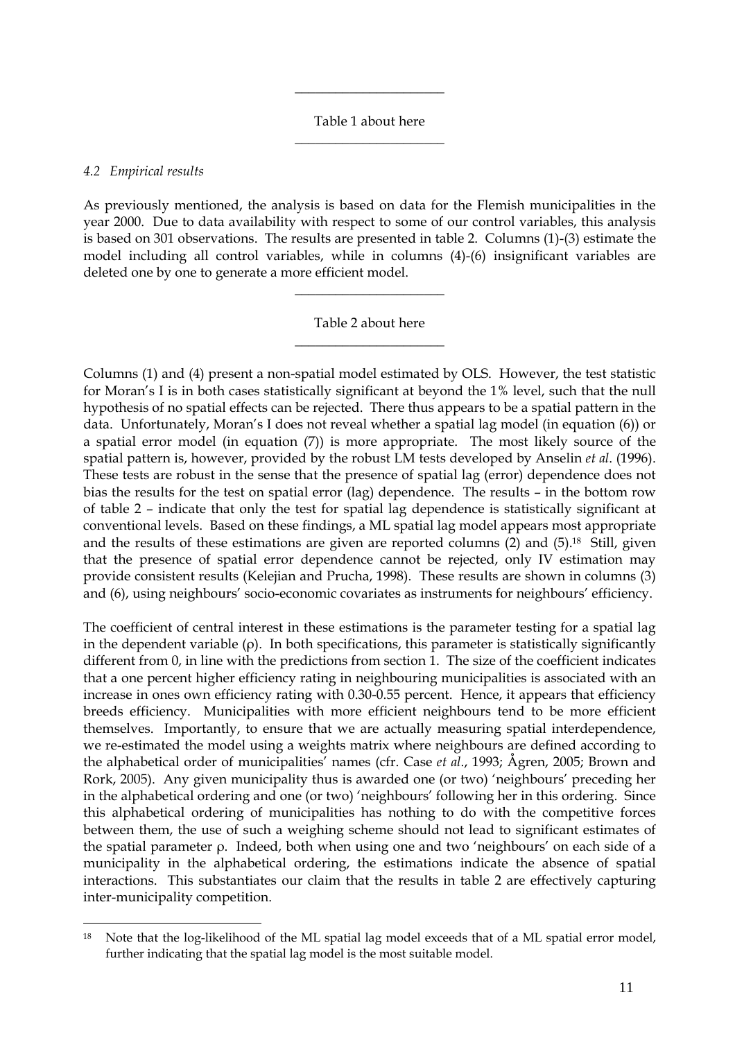#### Table 1 about here \_\_\_\_\_\_\_\_\_\_\_\_\_\_\_\_\_\_\_\_\_\_

 $\overline{\phantom{a}}$  , where  $\overline{\phantom{a}}$ 

#### *4.2 Empirical results*

 $\overline{a}$ 

As previously mentioned, the analysis is based on data for the Flemish municipalities in the year 2000. Due to data availability with respect to some of our control variables, this analysis is based on 301 observations. The results are presented in table 2. Columns (1)-(3) estimate the model including all control variables, while in columns (4)-(6) insignificant variables are deleted one by one to generate a more efficient model.

## Table 2 about here  $\overline{\phantom{a}}$  , where  $\overline{\phantom{a}}$

\_\_\_\_\_\_\_\_\_\_\_\_\_\_\_\_\_\_\_\_\_\_

Columns (1) and (4) present a non-spatial model estimated by OLS. However, the test statistic for Moran's I is in both cases statistically significant at beyond the 1% level, such that the null hypothesis of no spatial effects can be rejected. There thus appears to be a spatial pattern in the data. Unfortunately, Moran's I does not reveal whether a spatial lag model (in equation (6)) or a spatial error model (in equation (7)) is more appropriate. The most likely source of the spatial pattern is, however, provided by the robust LM tests developed by Anselin *et al*. (1996). These tests are robust in the sense that the presence of spatial lag (error) dependence does not bias the results for the test on spatial error (lag) dependence. The results – in the bottom row of table 2 – indicate that only the test for spatial lag dependence is statistically significant at conventional levels. Based on these findings, a ML spatial lag model appears most appropriate and the results of these estimations are given are reported columns (2) and (5).<sup>18</sup> Still, given that the presence of spatial error dependence cannot be rejected, only IV estimation may provide consistent results (Kelejian and Prucha, 1998). These results are shown in columns (3) and (6), using neighbours' socio-economic covariates as instruments for neighbours' efficiency.

The coefficient of central interest in these estimations is the parameter testing for a spatial lag in the dependent variable  $(\rho)$ . In both specifications, this parameter is statistically significantly different from 0, in line with the predictions from section 1. The size of the coefficient indicates that a one percent higher efficiency rating in neighbouring municipalities is associated with an increase in ones own efficiency rating with 0.30-0.55 percent. Hence, it appears that efficiency breeds efficiency. Municipalities with more efficient neighbours tend to be more efficient themselves. Importantly, to ensure that we are actually measuring spatial interdependence, we re-estimated the model using a weights matrix where neighbours are defined according to the alphabetical order of municipalities' names (cfr. Case *et al*., 1993; Ågren, 2005; Brown and Rork, 2005). Any given municipality thus is awarded one (or two) 'neighbours' preceding her in the alphabetical ordering and one (or two) 'neighbours' following her in this ordering. Since this alphabetical ordering of municipalities has nothing to do with the competitive forces between them, the use of such a weighing scheme should not lead to significant estimates of the spatial parameter ρ. Indeed, both when using one and two 'neighbours' on each side of a municipality in the alphabetical ordering, the estimations indicate the absence of spatial interactions. This substantiates our claim that the results in table 2 are effectively capturing inter-municipality competition.

<span id="page-14-0"></span><sup>&</sup>lt;sup>18</sup> Note that the log-likelihood of the ML spatial lag model exceeds that of a ML spatial error model, further indicating that the spatial lag model is the most suitable model.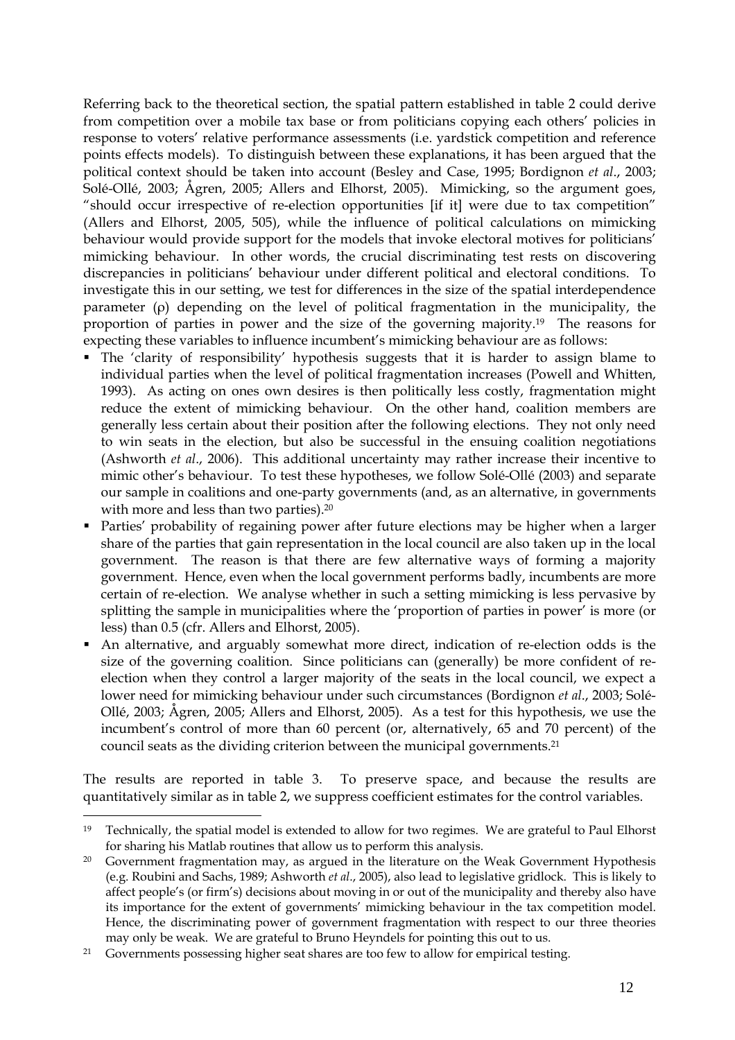Referring back to the theoretical section, the spatial pattern established in table 2 could derive from competition over a mobile tax base or from politicians copying each others' policies in response to voters' relative performance assessments (i.e. yardstick competition and reference points effects models). To distinguish between these explanations, it has been argued that the political context should be taken into account (Besley and Case, 1995; Bordignon *et al*., 2003; Solé-Ollé, 2003; Ågren, 2005; Allers and Elhorst, 2005). Mimicking, so the argument goes, "should occur irrespective of re-election opportunities [if it] were due to tax competition" (Allers and Elhorst, 2005, 505), while the influence of political calculations on mimicking behaviour would provide support for the models that invoke electoral motives for politicians' mimicking behaviour. In other words, the crucial discriminating test rests on discovering discrepancies in politicians' behaviour under different political and electoral conditions. To investigate this in our setting, we test for differences in the size of the spatial interdependence parameter (ρ) depending on the level of political fragmentation in the municipality, the proportion of parties in power and the size of the governing majority.[19](#page-15-0) The reasons for expecting these variables to influence incumbent's mimicking behaviour are as follows:

- The 'clarity of responsibility' hypothesis suggests that it is harder to assign blame to individual parties when the level of political fragmentation increases (Powell and Whitten, 1993). As acting on ones own desires is then politically less costly, fragmentation might reduce the extent of mimicking behaviour. On the other hand, coalition members are generally less certain about their position after the following elections. They not only need to win seats in the election, but also be successful in the ensuing coalition negotiations (Ashworth *et al*., 2006). This additional uncertainty may rather increase their incentive to mimic other's behaviour. To test these hypotheses, we follow Solé-Ollé (2003) and separate our sample in coalitions and one-party governments (and, as an alternative, in governments with more and less than two parties).<sup>[20](#page-15-1)</sup>
- Parties' probability of regaining power after future elections may be higher when a larger share of the parties that gain representation in the local council are also taken up in the local government. The reason is that there are few alternative ways of forming a majority government. Hence, even when the local government performs badly, incumbents are more certain of re-election. We analyse whether in such a setting mimicking is less pervasive by splitting the sample in municipalities where the 'proportion of parties in power' is more (or less) than 0.5 (cfr. Allers and Elhorst, 2005).
- An alternative, and arguably somewhat more direct, indication of re-election odds is the size of the governing coalition. Since politicians can (generally) be more confident of reelection when they control a larger majority of the seats in the local council, we expect a lower need for mimicking behaviour under such circumstances (Bordignon *et al*., 2003; Solé-Ollé, 2003; Ågren, 2005; Allers and Elhorst, 2005). As a test for this hypothesis, we use the incumbent's control of more than 60 percent (or, alternatively, 65 and 70 percent) of the council seats as the dividing criterion between the municipal governments[.21](#page-15-2)

The results are reported in table 3. To preserve space, and because the results are quantitatively similar as in table 2, we suppress coefficient estimates for the control variables.

<span id="page-15-0"></span> $\overline{a}$ <sup>19</sup> Technically, the spatial model is extended to allow for two regimes. We are grateful to Paul Elhorst for sharing his Matlab routines that allow us to perform this analysis.

<span id="page-15-1"></span><sup>&</sup>lt;sup>20</sup> Government fragmentation may, as argued in the literature on the Weak Government Hypothesis (e.g. Roubini and Sachs, 1989; Ashworth *et al*., 2005), also lead to legislative gridlock. This is likely to affect people's (or firm's) decisions about moving in or out of the municipality and thereby also have its importance for the extent of governments' mimicking behaviour in the tax competition model. Hence, the discriminating power of government fragmentation with respect to our three theories may only be weak. We are grateful to Bruno Heyndels for pointing this out to us.

<span id="page-15-2"></span><sup>&</sup>lt;sup>21</sup> Governments possessing higher seat shares are too few to allow for empirical testing.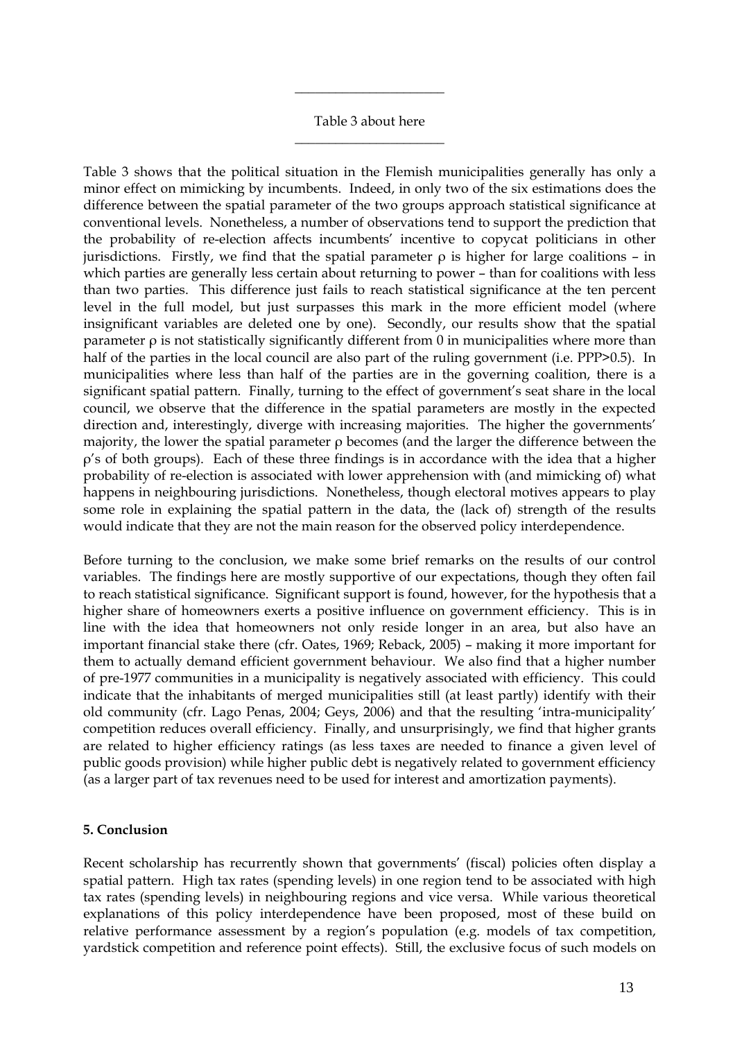## Table 3 about here \_\_\_\_\_\_\_\_\_\_\_\_\_\_\_\_\_\_\_\_\_\_

 $\overline{\phantom{a}}$  , where  $\overline{\phantom{a}}$ 

Table 3 shows that the political situation in the Flemish municipalities generally has only a minor effect on mimicking by incumbents. Indeed, in only two of the six estimations does the difference between the spatial parameter of the two groups approach statistical significance at conventional levels. Nonetheless, a number of observations tend to support the prediction that the probability of re-election affects incumbents' incentive to copycat politicians in other jurisdictions. Firstly, we find that the spatial parameter  $\rho$  is higher for large coalitions – in which parties are generally less certain about returning to power – than for coalitions with less than two parties. This difference just fails to reach statistical significance at the ten percent level in the full model, but just surpasses this mark in the more efficient model (where insignificant variables are deleted one by one). Secondly, our results show that the spatial parameter ρ is not statistically significantly different from 0 in municipalities where more than half of the parties in the local council are also part of the ruling government (i.e. PPP>0.5). In municipalities where less than half of the parties are in the governing coalition, there is a significant spatial pattern. Finally, turning to the effect of government's seat share in the local council, we observe that the difference in the spatial parameters are mostly in the expected direction and, interestingly, diverge with increasing majorities. The higher the governments' majority, the lower the spatial parameter  $\rho$  becomes (and the larger the difference between the ρ's of both groups). Each of these three findings is in accordance with the idea that a higher probability of re-election is associated with lower apprehension with (and mimicking of) what happens in neighbouring jurisdictions. Nonetheless, though electoral motives appears to play some role in explaining the spatial pattern in the data, the (lack of) strength of the results would indicate that they are not the main reason for the observed policy interdependence.

Before turning to the conclusion, we make some brief remarks on the results of our control variables. The findings here are mostly supportive of our expectations, though they often fail to reach statistical significance. Significant support is found, however, for the hypothesis that a higher share of homeowners exerts a positive influence on government efficiency. This is in line with the idea that homeowners not only reside longer in an area, but also have an important financial stake there (cfr. Oates, 1969; Reback, 2005) – making it more important for them to actually demand efficient government behaviour. We also find that a higher number of pre-1977 communities in a municipality is negatively associated with efficiency. This could indicate that the inhabitants of merged municipalities still (at least partly) identify with their old community (cfr. Lago Penas, 2004; Geys, 2006) and that the resulting 'intra-municipality' competition reduces overall efficiency. Finally, and unsurprisingly, we find that higher grants are related to higher efficiency ratings (as less taxes are needed to finance a given level of public goods provision) while higher public debt is negatively related to government efficiency (as a larger part of tax revenues need to be used for interest and amortization payments).

## **5. Conclusion**

Recent scholarship has recurrently shown that governments' (fiscal) policies often display a spatial pattern. High tax rates (spending levels) in one region tend to be associated with high tax rates (spending levels) in neighbouring regions and vice versa. While various theoretical explanations of this policy interdependence have been proposed, most of these build on relative performance assessment by a region's population (e.g. models of tax competition, yardstick competition and reference point effects). Still, the exclusive focus of such models on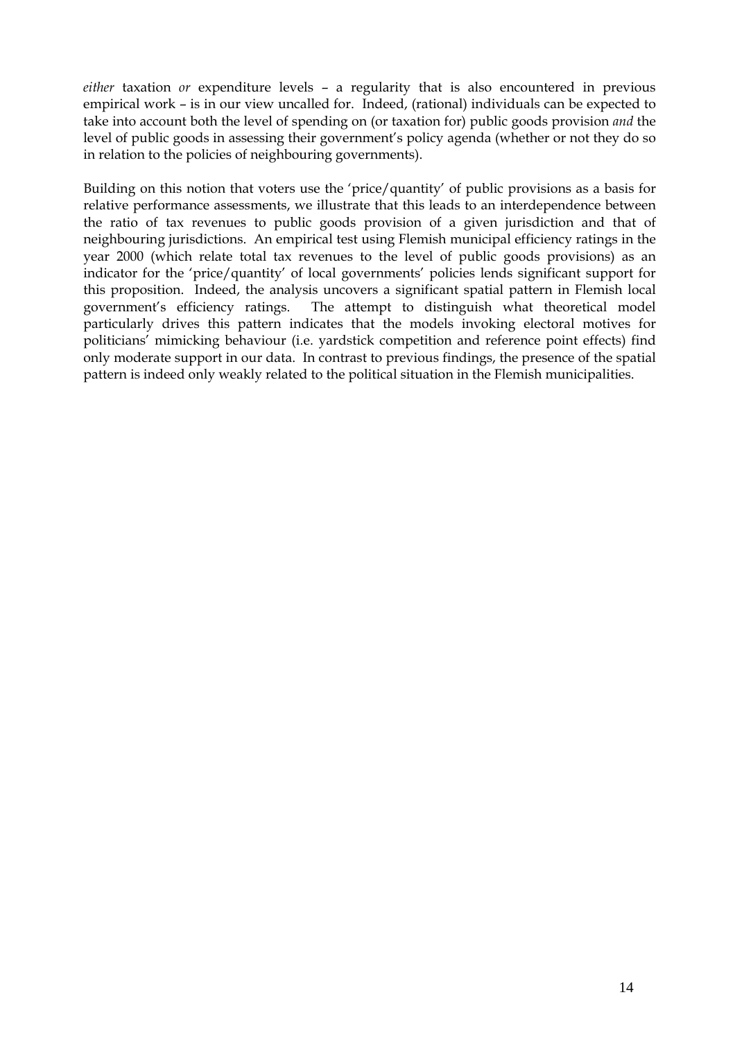*either* taxation *or* expenditure levels – a regularity that is also encountered in previous empirical work – is in our view uncalled for. Indeed, (rational) individuals can be expected to take into account both the level of spending on (or taxation for) public goods provision *and* the level of public goods in assessing their government's policy agenda (whether or not they do so in relation to the policies of neighbouring governments).

Building on this notion that voters use the 'price/quantity' of public provisions as a basis for relative performance assessments, we illustrate that this leads to an interdependence between the ratio of tax revenues to public goods provision of a given jurisdiction and that of neighbouring jurisdictions. An empirical test using Flemish municipal efficiency ratings in the year 2000 (which relate total tax revenues to the level of public goods provisions) as an indicator for the 'price/quantity' of local governments' policies lends significant support for this proposition. Indeed, the analysis uncovers a significant spatial pattern in Flemish local government's efficiency ratings. The attempt to distinguish what theoretical model particularly drives this pattern indicates that the models invoking electoral motives for politicians' mimicking behaviour (i.e. yardstick competition and reference point effects) find only moderate support in our data. In contrast to previous findings, the presence of the spatial pattern is indeed only weakly related to the political situation in the Flemish municipalities.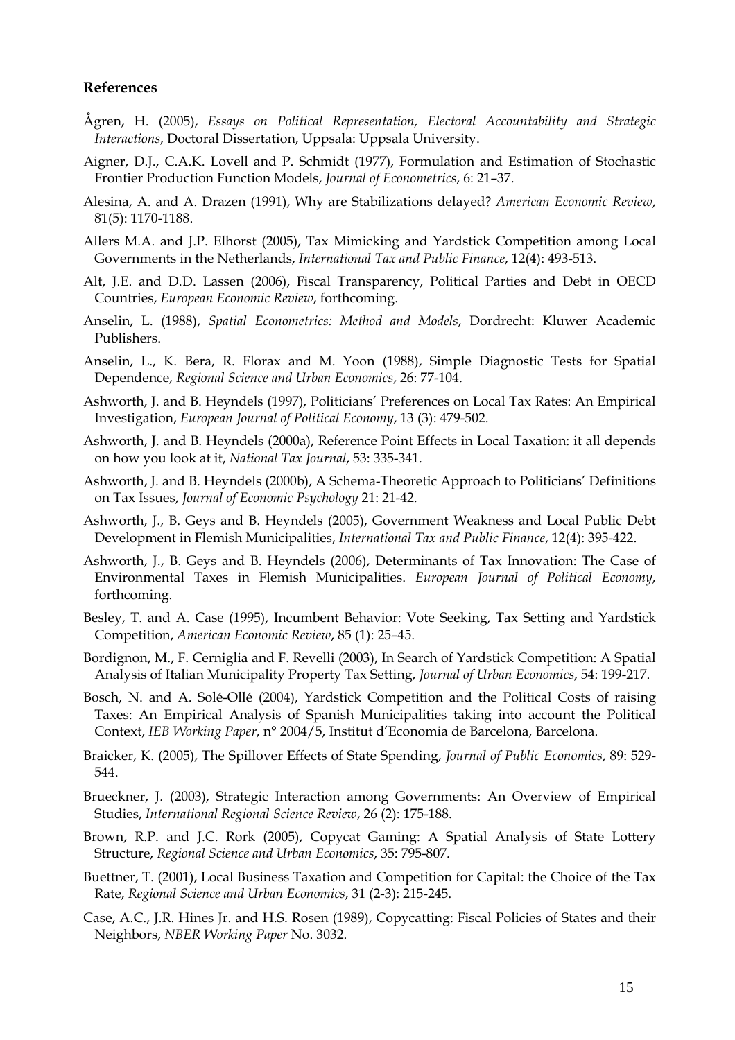## **References**

- Ågren, H. (2005), *Essays on Political Representation, Electoral Accountability and Strategic Interactions*, Doctoral Dissertation, Uppsala: Uppsala University.
- Aigner, D.J., C.A.K. Lovell and P. Schmidt (1977), Formulation and Estimation of Stochastic Frontier Production Function Models, *Journal of Econometrics*, 6: 21–37.
- Alesina, A. and A. Drazen (1991), Why are Stabilizations delayed? *American Economic Review*, 81(5): 1170-1188.
- Allers M.A. and J.P. Elhorst (2005), Tax Mimicking and Yardstick Competition among Local Governments in the Netherlands, *International Tax and Public Finance*, 12(4): 493-513.
- Alt, J.E. and D.D. Lassen (2006), Fiscal Transparency, Political Parties and Debt in OECD Countries, *European Economic Review*, forthcoming.
- Anselin, L. (1988), *Spatial Econometrics: Method and Models*, Dordrecht: Kluwer Academic Publishers.
- Anselin, L., K. Bera, R. Florax and M. Yoon (1988), Simple Diagnostic Tests for Spatial Dependence, *Regional Science and Urban Economics*, 26: 77-104.
- Ashworth, J. and B. Heyndels (1997), Politicians' Preferences on Local Tax Rates: An Empirical Investigation, *European Journal of Political Economy*, 13 (3): 479-502.
- Ashworth, J. and B. Heyndels (2000a), Reference Point Effects in Local Taxation: it all depends on how you look at it, *National Tax Journal*, 53: 335-341.
- Ashworth, J. and B. Heyndels (2000b), A Schema-Theoretic Approach to Politicians' Definitions on Tax Issues, *Journal of Economic Psychology* 21: 21-42.
- Ashworth, J., B. Geys and B. Heyndels (2005), Government Weakness and Local Public Debt Development in Flemish Municipalities, *International Tax and Public Finance*, 12(4): 395-422.
- Ashworth, J., B. Geys and B. Heyndels (2006), Determinants of Tax Innovation: The Case of Environmental Taxes in Flemish Municipalities. *European Journal of Political Economy*, forthcoming.
- Besley, T. and A. Case (1995), Incumbent Behavior: Vote Seeking, Tax Setting and Yardstick Competition, *American Economic Review*, 85 (1): 25–45.
- Bordignon, M., F. Cerniglia and F. Revelli (2003), In Search of Yardstick Competition: A Spatial Analysis of Italian Municipality Property Tax Setting, *Journal of Urban Economics*, 54: 199-217.
- Bosch, N. and A. Solé-Ollé (2004), Yardstick Competition and the Political Costs of raising Taxes: An Empirical Analysis of Spanish Municipalities taking into account the Political Context, *IEB Working Paper*, n° 2004/5, Institut d'Economia de Barcelona, Barcelona.
- Braicker, K. (2005), The Spillover Effects of State Spending, *Journal of Public Economics*, 89: 529- 544.
- Brueckner, J. (2003), Strategic Interaction among Governments: An Overview of Empirical Studies, *International Regional Science Review*, 26 (2): 175-188.
- Brown, R.P. and J.C. Rork (2005), Copycat Gaming: A Spatial Analysis of State Lottery Structure, *Regional Science and Urban Economics*, 35: 795-807.
- Buettner, T. (2001), Local Business Taxation and Competition for Capital: the Choice of the Tax Rate, *Regional Science and Urban Economics*, 31 (2-3): 215-245.
- Case, A.C., J.R. Hines Jr. and H.S. Rosen (1989), Copycatting: Fiscal Policies of States and their Neighbors, *NBER Working Paper* No. 3032.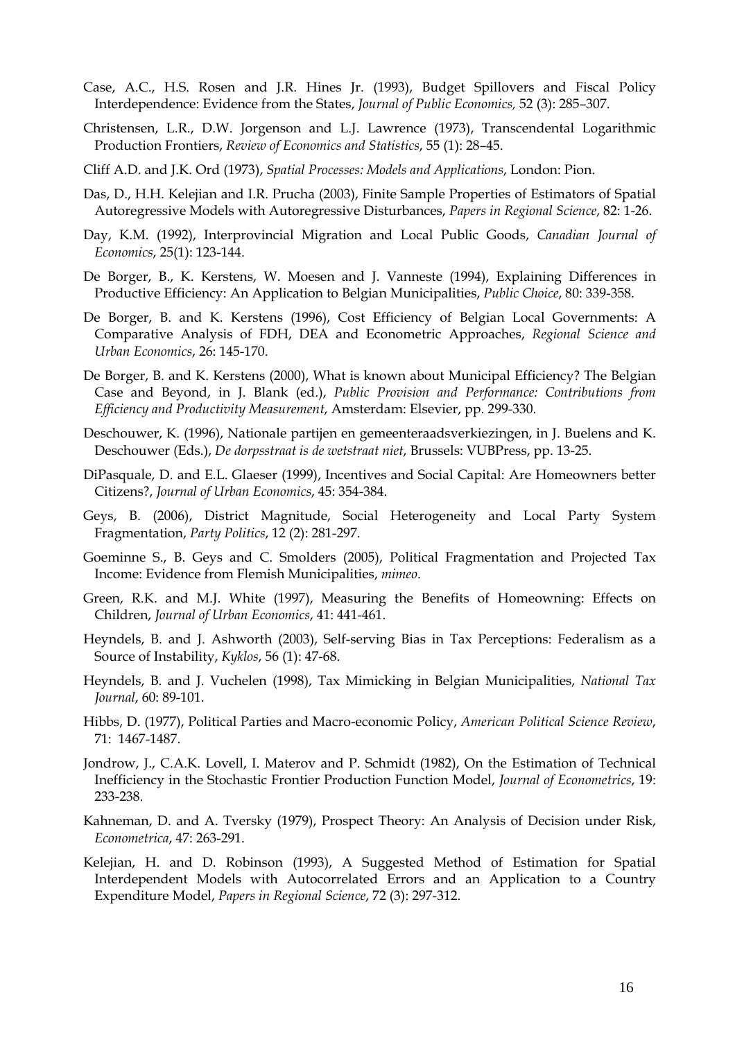- Case, A.C., H.S. Rosen and J.R. Hines Jr. (1993), Budget Spillovers and Fiscal Policy Interdependence: Evidence from the States, *Journal of Public Economics,* 52 (3): 285–307.
- Christensen, L.R., D.W. Jorgenson and L.J. Lawrence (1973), Transcendental Logarithmic Production Frontiers, *Review of Economics and Statistics*, 55 (1): 28–45.
- Cliff A.D. and J.K. Ord (1973), *Spatial Processes: Models and Applications*, London: Pion.
- Das, D., H.H. Kelejian and I.R. Prucha (2003), Finite Sample Properties of Estimators of Spatial Autoregressive Models with Autoregressive Disturbances, *Papers in Regional Science*, 82: 1-26.
- Day, K.M. (1992), Interprovincial Migration and Local Public Goods, *Canadian Journal of Economics*, 25(1): 123-144.
- De Borger, B., K. Kerstens, W. Moesen and J. Vanneste (1994), Explaining Differences in Productive Efficiency: An Application to Belgian Municipalities, *Public Choice*, 80: 339-358.
- De Borger, B. and K. Kerstens (1996), Cost Efficiency of Belgian Local Governments: A Comparative Analysis of FDH, DEA and Econometric Approaches, *Regional Science and Urban Economics*, 26: 145-170.
- De Borger, B. and K. Kerstens (2000), What is known about Municipal Efficiency? The Belgian Case and Beyond, in J. Blank (ed.), *Public Provision and Performance: Contributions from Efficiency and Productivity Measurement*, Amsterdam: Elsevier, pp. 299-330.
- Deschouwer, K. (1996), Nationale partijen en gemeenteraadsverkiezingen, in J. Buelens and K. Deschouwer (Eds.), *De dorpsstraat is de wetstraat niet*, Brussels: VUBPress, pp. 13-25.
- DiPasquale, D. and E.L. Glaeser (1999), Incentives and Social Capital: Are Homeowners better Citizens?, *Journal of Urban Economics*, 45: 354-384.
- Geys, B. (2006), District Magnitude, Social Heterogeneity and Local Party System Fragmentation, *Party Politics*, 12 (2): 281-297.
- Goeminne S., B. Geys and C. Smolders (2005), Political Fragmentation and Projected Tax Income: Evidence from Flemish Municipalities, *mimeo*.
- Green, R.K. and M.J. White (1997), Measuring the Benefits of Homeowning: Effects on Children, *Journal of Urban Economics*, 41: 441-461.
- Heyndels, B. and J. Ashworth (2003), Self-serving Bias in Tax Perceptions: Federalism as a Source of Instability, *Kyklos*, 56 (1): 47-68.
- Heyndels, B. and J. Vuchelen (1998), Tax Mimicking in Belgian Municipalities, *National Tax Journal*, 60: 89-101.
- Hibbs, D. (1977), Political Parties and Macro-economic Policy, *American Political Science Review*, 71: 1467-1487.
- Jondrow, J., C.A.K. Lovell, I. Materov and P. Schmidt (1982), On the Estimation of Technical Inefficiency in the Stochastic Frontier Production Function Model, *Journal of Econometrics*, 19: 233-238.
- Kahneman, D. and A. Tversky (1979), Prospect Theory: An Analysis of Decision under Risk, *Econometrica*, 47: 263-291.
- Kelejian, H. and D. Robinson (1993), A Suggested Method of Estimation for Spatial Interdependent Models with Autocorrelated Errors and an Application to a Country Expenditure Model, *Papers in Regional Science*, 72 (3): 297-312.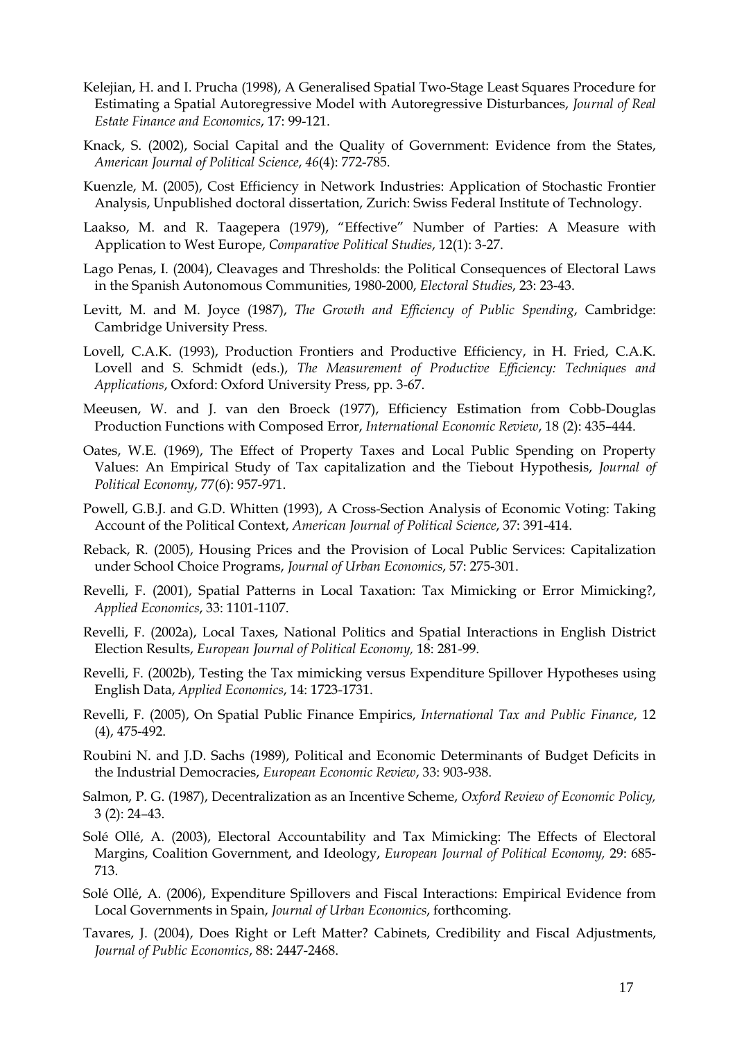- Kelejian, H. and I. Prucha (1998), A Generalised Spatial Two-Stage Least Squares Procedure for Estimating a Spatial Autoregressive Model with Autoregressive Disturbances, *Journal of Real Estate Finance and Economics*, 17: 99-121.
- Knack, S. (2002), Social Capital and the Quality of Government: Evidence from the States, *American Journal of Political Science*, *46*(4): 772-785.
- Kuenzle, M. (2005), Cost Efficiency in Network Industries: Application of Stochastic Frontier Analysis, Unpublished doctoral dissertation, Zurich: Swiss Federal Institute of Technology.
- Laakso, M. and R. Taagepera (1979), "Effective" Number of Parties: A Measure with Application to West Europe, *Comparative Political Studies*, 12(1): 3-27.
- Lago Penas, I. (2004), Cleavages and Thresholds: the Political Consequences of Electoral Laws in the Spanish Autonomous Communities, 1980-2000, *Electoral Studies*, 23: 23-43.
- Levitt, M. and M. Joyce (1987), *The Growth and Efficiency of Public Spending*, Cambridge: Cambridge University Press.
- Lovell, C.A.K. (1993), Production Frontiers and Productive Efficiency, in H. Fried, C.A.K. Lovell and S. Schmidt (eds.), *The Measurement of Productive Efficiency: Techniques and Applications*, Oxford: Oxford University Press, pp. 3-67.
- Meeusen, W. and J. van den Broeck (1977), Efficiency Estimation from Cobb-Douglas Production Functions with Composed Error, *International Economic Review*, 18 (2): 435–444.
- Oates, W.E. (1969), The Effect of Property Taxes and Local Public Spending on Property Values: An Empirical Study of Tax capitalization and the Tiebout Hypothesis, *Journal of Political Economy*, 77(6): 957-971.
- Powell, G.B.J. and G.D. Whitten (1993), A Cross-Section Analysis of Economic Voting: Taking Account of the Political Context, *American Journal of Political Science*, 37: 391-414.
- Reback, R. (2005), Housing Prices and the Provision of Local Public Services: Capitalization under School Choice Programs, *Journal of Urban Economics*, 57: 275-301.
- Revelli, F. (2001), Spatial Patterns in Local Taxation: Tax Mimicking or Error Mimicking?, *Applied Economics*, 33: 1101-1107.
- Revelli, F. (2002a), Local Taxes, National Politics and Spatial Interactions in English District Election Results, *European Journal of Political Economy,* 18: 281-99.
- Revelli, F. (2002b), Testing the Tax mimicking versus Expenditure Spillover Hypotheses using English Data, *Applied Economics*, 14: 1723-1731.
- Revelli, F. (2005), On Spatial Public Finance Empirics, *International Tax and Public Finance*, 12 (4), 475-492.
- Roubini N. and J.D. Sachs (1989), Political and Economic Determinants of Budget Deficits in the Industrial Democracies, *European Economic Review*, 33: 903-938.
- Salmon, P. G. (1987), Decentralization as an Incentive Scheme, *Oxford Review of Economic Policy,*  3 (2): 24–43.
- Solé Ollé, A. (2003), Electoral Accountability and Tax Mimicking: The Effects of Electoral Margins, Coalition Government, and Ideology, *European Journal of Political Economy,* 29: 685- 713.
- Solé Ollé, A. (2006), Expenditure Spillovers and Fiscal Interactions: Empirical Evidence from Local Governments in Spain, *Journal of Urban Economics*, forthcoming.
- Tavares, J. (2004), Does Right or Left Matter? Cabinets, Credibility and Fiscal Adjustments, *Journal of Public Economics*, 88: 2447-2468.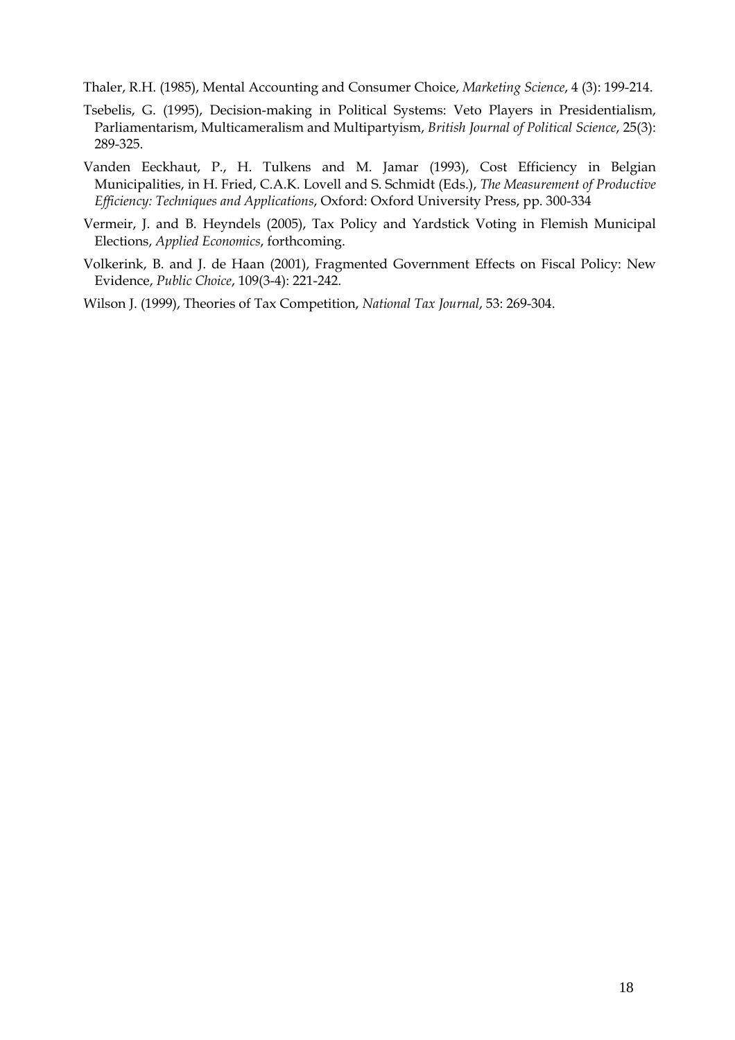Thaler, R.H. (1985), Mental Accounting and Consumer Choice, *Marketing Science*, 4 (3): 199-214.

- Tsebelis, G. (1995), Decision-making in Political Systems: Veto Players in Presidentialism, Parliamentarism, Multicameralism and Multipartyism, *British Journal of Political Science*, 25(3): 289-325.
- Vanden Eeckhaut, P., H. Tulkens and M. Jamar (1993), Cost Efficiency in Belgian Municipalities, in H. Fried, C.A.K. Lovell and S. Schmidt (Eds.), *The Measurement of Productive Efficiency: Techniques and Applications*, Oxford: Oxford University Press, pp. 300-334
- Vermeir, J. and B. Heyndels (2005), Tax Policy and Yardstick Voting in Flemish Municipal Elections, *Applied Economics*, forthcoming.
- Volkerink, B. and J. de Haan (2001), Fragmented Government Effects on Fiscal Policy: New Evidence, *Public Choice*, 109(3-4): 221-242.
- Wilson J. (1999), Theories of Tax Competition, *National Tax Journal*, 53: 269-304.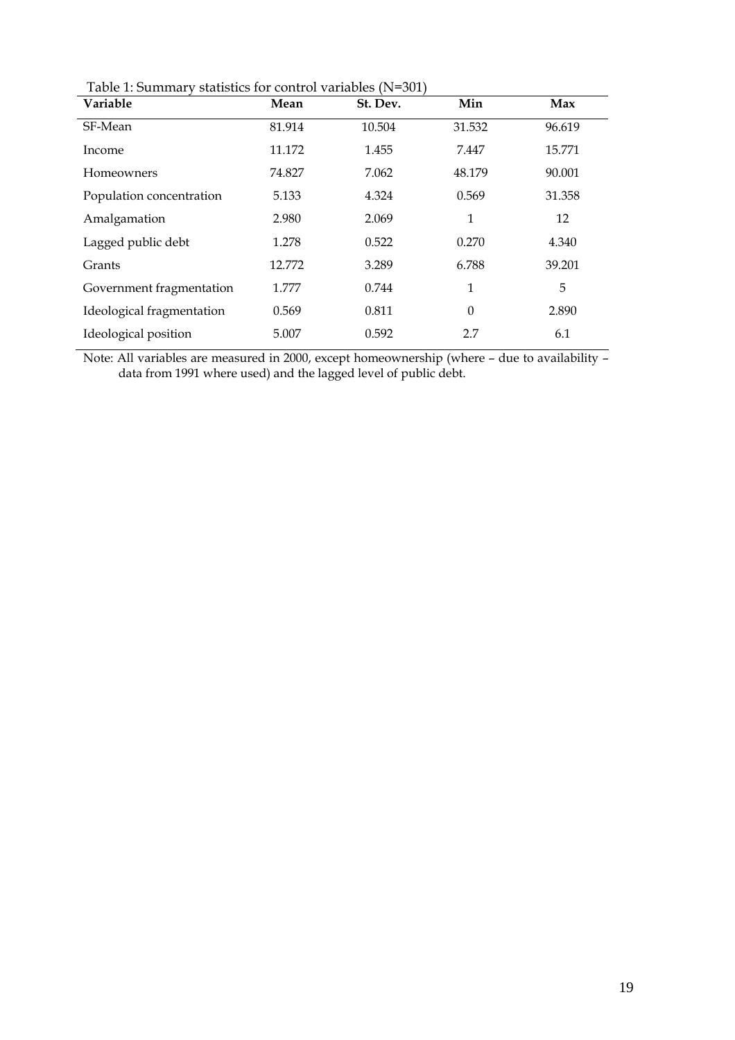Table 1: Summary statistics for control variables (N=301)

| <b>Variable</b>           | Mean   | St. Dev. | Min      | Max    |
|---------------------------|--------|----------|----------|--------|
| SF-Mean                   | 81.914 | 10.504   | 31.532   | 96.619 |
| Income                    | 11.172 | 1.455    | 7.447    | 15.771 |
| <b>Homeowners</b>         | 74.827 | 7.062    | 48.179   | 90.001 |
| Population concentration  | 5.133  | 4.324    | 0.569    | 31.358 |
| Amalgamation              | 2.980  | 2.069    | 1        | 12     |
| Lagged public debt        | 1.278  | 0.522    | 0.270    | 4.340  |
| Grants                    | 12.772 | 3.289    | 6.788    | 39.201 |
| Government fragmentation  | 1.777  | 0.744    | 1        | 5      |
| Ideological fragmentation | 0.569  | 0.811    | $\Omega$ | 2.890  |
| Ideological position      | 5.007  | 0.592    | 2.7      | 6.1    |

Note: All variables are measured in 2000, except homeownership (where – due to availability – data from 1991 where used) and the lagged level of public debt.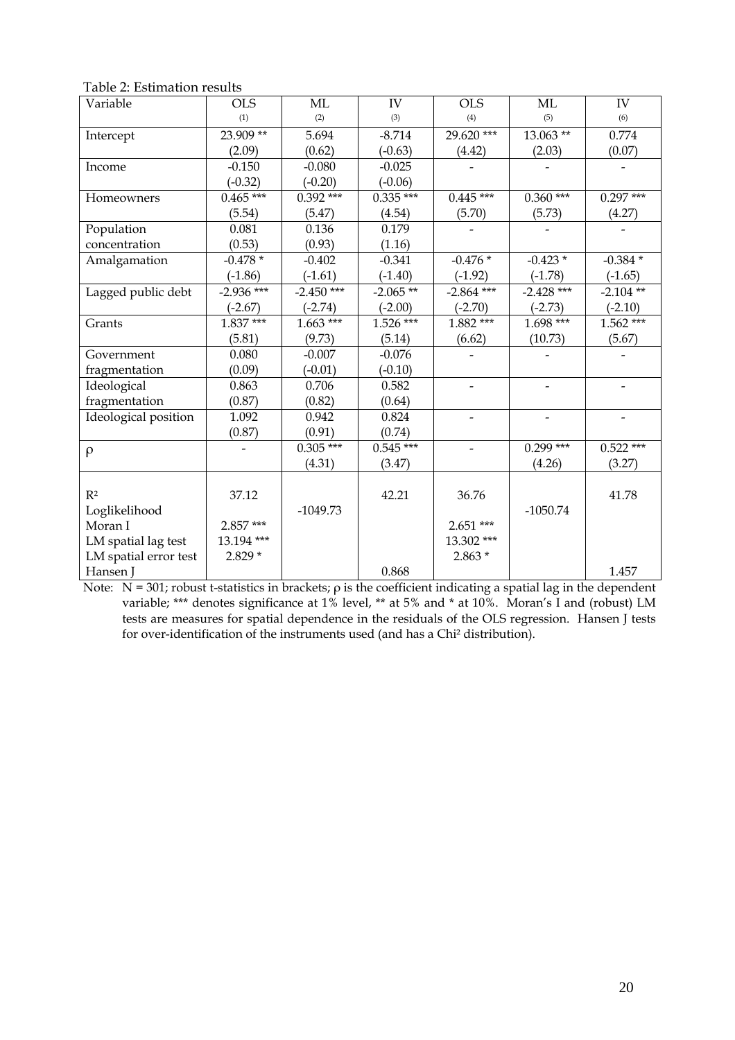Table 2: Estimation results

| Variable              | <b>OLS</b>   | ML          | IV          | <b>OLS</b>   | ML           | IV          |
|-----------------------|--------------|-------------|-------------|--------------|--------------|-------------|
|                       | (1)          | (2)         | (3)         | (4)          | (5)          | (6)         |
| Intercept             | $23.909**$   | 5.694       | $-8.714$    | 29.620***    | $13.063$ **  | 0.774       |
|                       | (2.09)       | (0.62)      | $(-0.63)$   | (4.42)       | (2.03)       | (0.07)      |
| Income                | $-0.150$     | $-0.080$    | $-0.025$    |              |              |             |
|                       | $(-0.32)$    | $(-0.20)$   | $(-0.06)$   |              |              |             |
| Homeowners            | $0.465***$   | $0.392***$  | $0.335***$  | $0.445***$   | $0.360***$   | $0.297***$  |
|                       | (5.54)       | (5.47)      | (4.54)      | (5.70)       | (5.73)       | (4.27)      |
| Population            | 0.081        | 0.136       | 0.179       |              |              |             |
| concentration         | (0.53)       | (0.93)      | (1.16)      |              |              |             |
| Amalgamation          | $-0.478*$    | $-0.402$    | $-0.341$    | $-0.476*$    | $-0.423*$    | $-0.384$ *  |
|                       | $(-1.86)$    | $(-1.61)$   | $(-1.40)$   | $(-1.92)$    | $(-1.78)$    | $(-1.65)$   |
| Lagged public debt    | $-2.936$ *** | $-2.450***$ | $-2.065$ ** | $-2.864$ *** | $-2.428$ *** | $-2.104$ ** |
|                       | $(-2.67)$    | $(-2.74)$   | $(-2.00)$   | $(-2.70)$    | $(-2.73)$    | $(-2.10)$   |
| Grants                | $1.837***$   | $1.663***$  | 1.526***    | $1.882***$   | $1.698***$   | $1.562***$  |
|                       | (5.81)       | (9.73)      | (5.14)      | (6.62)       | (10.73)      | (5.67)      |
| Government            | 0.080        | $-0.007$    | $-0.076$    |              |              |             |
| fragmentation         | (0.09)       | $(-0.01)$   | $(-0.10)$   |              |              |             |
| Ideological           | 0.863        | 0.706       | 0.582       |              |              |             |
| fragmentation         | (0.87)       | (0.82)      | (0.64)      |              |              |             |
| Ideological position  | 1.092        | 0.942       | 0.824       |              |              |             |
|                       | (0.87)       | (0.91)      | (0.74)      |              |              |             |
| $\rho$                |              | $0.305***$  | $0.545***$  |              | $0.299***$   | $0.522$ *** |
|                       |              | (4.31)      | (3.47)      |              | (4.26)       | (3.27)      |
|                       |              |             |             |              |              |             |
| R <sup>2</sup>        | 37.12        |             | 42.21       | 36.76        |              | 41.78       |
| Loglikelihood         |              | $-1049.73$  |             |              | $-1050.74$   |             |
| Moran I               | 2.857 ***    |             |             | $2.651***$   |              |             |
| LM spatial lag test   | $13.194$ *** |             |             | 13.302 ***   |              |             |
| LM spatial error test | $2.829*$     |             |             | $2.863*$     |              |             |
| Hansen J              |              |             | 0.868       |              |              | 1.457       |

Note:  $N = 301$ ; robust t-statistics in brackets;  $\rho$  is the coefficient indicating a spatial lag in the dependent variable; \*\*\* denotes significance at 1% level, \*\* at 5% and \* at 10%. Moran's I and (robust) LM tests are measures for spatial dependence in the residuals of the OLS regression. Hansen J tests for over-identification of the instruments used (and has a Chi² distribution).